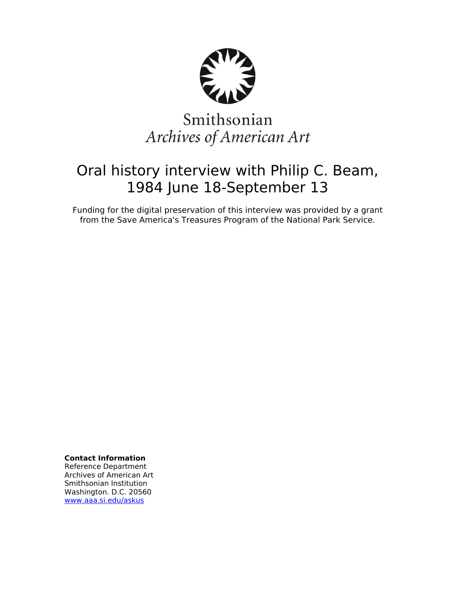

# Smithsonian Archives of American Art

## Oral history interview with Philip C. Beam, 1984 June 18-September 13

Funding for the digital preservation of this interview was provided by a grant from the Save America's Treasures Program of the National Park Service.

**Contact Information**

Reference Department Archives of American Art Smithsonian Institution Washington. D.C. 20560 [www.aaa.si.edu/askus](http://www.aaa.si.edu/askus)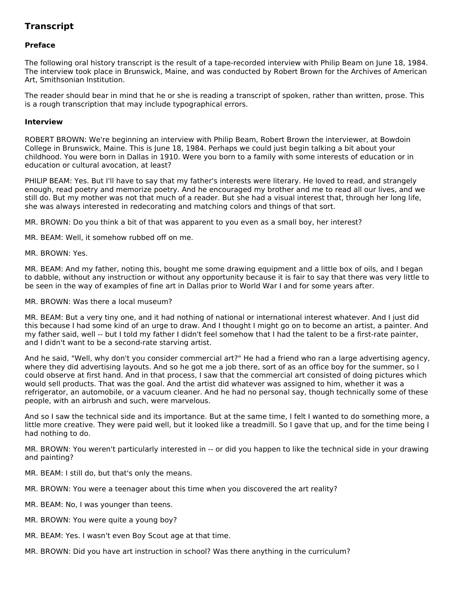### **Transcript**

#### **Preface**

The following oral history transcript is the result of a tape-recorded interview with Philip Beam on June 18, 1984. The interview took place in Brunswick, Maine, and was conducted by Robert Brown for the Archives of American Art, Smithsonian Institution.

The reader should bear in mind that he or she is reading a transcript of spoken, rather than written, prose. This is a rough transcription that may include typographical errors.

#### **Interview**

ROBERT BROWN: We're beginning an interview with Philip Beam, Robert Brown the interviewer, at Bowdoin College in Brunswick, Maine. This is June 18, 1984. Perhaps we could just begin talking a bit about your childhood. You were born in Dallas in 1910. Were you born to a family with some interests of education or in education or cultural avocation, at least?

PHILIP BEAM: Yes. But I'll have to say that my father's interests were literary. He loved to read, and strangely enough, read poetry and memorize poetry. And he encouraged my brother and me to read all our lives, and we still do. But my mother was not that much of a reader. But she had a visual interest that, through her long life, she was always interested in redecorating and matching colors and things of that sort.

MR. BROWN: Do you think a bit of that was apparent to you even as a small boy, her interest?

MR. BEAM: Well, it somehow rubbed off on me.

MR. BROWN: Yes.

MR. BEAM: And my father, noting this, bought me some drawing equipment and a little box of oils, and I began to dabble, without any instruction or without any opportunity because it is fair to say that there was very little to be seen in the way of examples of fine art in Dallas prior to World War I and for some years after.

MR. BROWN: Was there a local museum?

MR. BEAM: But a very tiny one, and it had nothing of national or international interest whatever. And I just did this because I had some kind of an urge to draw. And I thought I might go on to become an artist, a painter. And my father said, well -- but I told my father I didn't feel somehow that I had the talent to be a first-rate painter, and I didn't want to be a second-rate starving artist.

And he said, "Well, why don't you consider commercial art?" He had a friend who ran a large advertising agency, where they did advertising layouts. And so he got me a job there, sort of as an office boy for the summer, so I could observe at first hand. And in that process, I saw that the commercial art consisted of doing pictures which would sell products. That was the goal. And the artist did whatever was assigned to him, whether it was a refrigerator, an automobile, or a vacuum cleaner. And he had no personal say, though technically some of these people, with an airbrush and such, were marvelous.

And so I saw the technical side and its importance. But at the same time, I felt I wanted to do something more, a little more creative. They were paid well, but it looked like a treadmill. So I gave that up, and for the time being I had nothing to do.

MR. BROWN: You weren't particularly interested in -- or did you happen to like the technical side in your drawing and painting?

MR. BEAM: I still do, but that's only the means.

MR. BROWN: You were a teenager about this time when you discovered the art reality?

MR. BEAM: No, I was younger than teens.

- MR. BROWN: You were quite a young boy?
- MR. BEAM: Yes. I wasn't even Boy Scout age at that time.
- MR. BROWN: Did you have art instruction in school? Was there anything in the curriculum?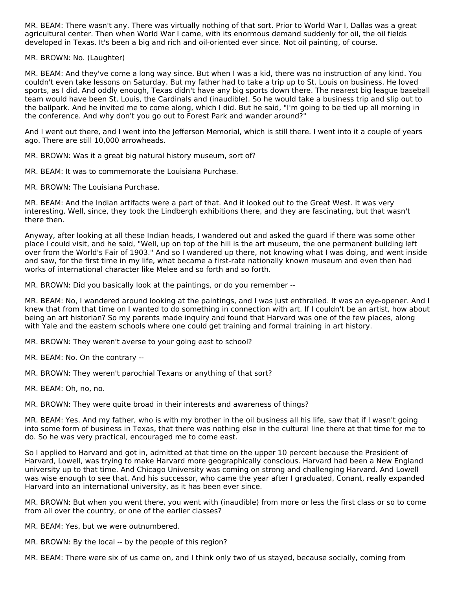MR. BEAM: There wasn't any. There was virtually nothing of that sort. Prior to World War I, Dallas was a great agricultural center. Then when World War I came, with its enormous demand suddenly for oil, the oil fields developed in Texas. It's been a big and rich and oil-oriented ever since. Not oil painting, of course.

MR. BROWN: No. (Laughter)

MR. BEAM: And they've come a long way since. But when I was a kid, there was no instruction of any kind. You couldn't even take lessons on Saturday. But my father had to take a trip up to St. Louis on business. He loved sports, as I did. And oddly enough, Texas didn't have any big sports down there. The nearest big league baseball team would have been St. Louis, the Cardinals and (inaudible). So he would take a business trip and slip out to the ballpark. And he invited me to come along, which I did. But he said, "I'm going to be tied up all morning in the conference. And why don't you go out to Forest Park and wander around?"

And I went out there, and I went into the Jefferson Memorial, which is still there. I went into it a couple of years ago. There are still 10,000 arrowheads.

MR. BROWN: Was it a great big natural history museum, sort of?

MR. BEAM: It was to commemorate the Louisiana Purchase.

MR. BROWN: The Louisiana Purchase.

MR. BEAM: And the Indian artifacts were a part of that. And it looked out to the Great West. It was very interesting. Well, since, they took the Lindbergh exhibitions there, and they are fascinating, but that wasn't there then.

Anyway, after looking at all these Indian heads, I wandered out and asked the guard if there was some other place I could visit, and he said, "Well, up on top of the hill is the art museum, the one permanent building left over from the World's Fair of 1903." And so I wandered up there, not knowing what I was doing, and went inside and saw, for the first time in my life, what became a first-rate nationally known museum and even then had works of international character like Melee and so forth and so forth.

MR. BROWN: Did you basically look at the paintings, or do you remember --

MR. BEAM: No. I wandered around looking at the paintings, and I was just enthralled. It was an eye-opener. And I knew that from that time on I wanted to do something in connection with art. If I couldn't be an artist, how about being an art historian? So my parents made inquiry and found that Harvard was one of the few places, along with Yale and the eastern schools where one could get training and formal training in art history.

MR. BROWN: They weren't averse to your going east to school?

MR. BEAM: No. On the contrary --

MR. BROWN: They weren't parochial Texans or anything of that sort?

MR. BEAM: Oh, no, no.

MR. BROWN: They were quite broad in their interests and awareness of things?

MR. BEAM: Yes. And my father, who is with my brother in the oil business all his life, saw that if I wasn't going into some form of business in Texas, that there was nothing else in the cultural line there at that time for me to do. So he was very practical, encouraged me to come east.

So I applied to Harvard and got in, admitted at that time on the upper 10 percent because the President of Harvard, Lowell, was trying to make Harvard more geographically conscious. Harvard had been a New England university up to that time. And Chicago University was coming on strong and challenging Harvard. And Lowell was wise enough to see that. And his successor, who came the year after I graduated, Conant, really expanded Harvard into an international university, as it has been ever since.

MR. BROWN: But when you went there, you went with (inaudible) from more or less the first class or so to come from all over the country, or one of the earlier classes?

MR. BEAM: Yes, but we were outnumbered.

MR. BROWN: By the local -- by the people of this region?

MR. BEAM: There were six of us came on, and I think only two of us stayed, because socially, coming from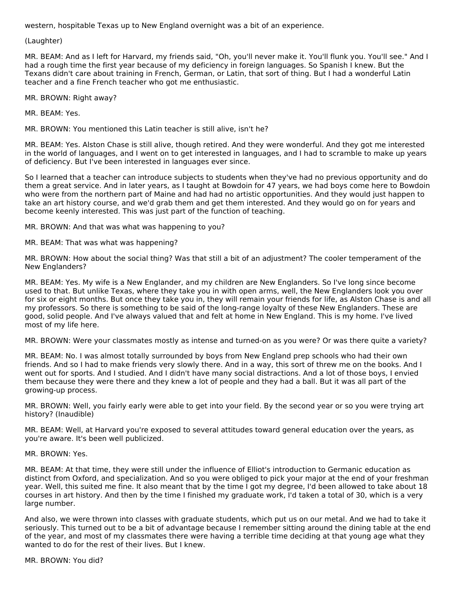western, hospitable Texas up to New England overnight was a bit of an experience.

#### (Laughter)

MR. BEAM: And as I left for Harvard, my friends said, "Oh, you'll never make it. You'll flunk you. You'll see." And I had a rough time the first year because of my deficiency in foreign languages. So Spanish I knew. But the Texans didn't care about training in French, German, or Latin, that sort of thing. But I had a wonderful Latin teacher and a fine French teacher who got me enthusiastic.

MR. BROWN: Right away?

MR. BEAM: Yes.

MR. BROWN: You mentioned this Latin teacher is still alive, isn't he?

MR. BEAM: Yes. Alston Chase is still alive, though retired. And they were wonderful. And they got me interested in the world of languages, and I went on to get interested in languages, and I had to scramble to make up years of deficiency. But I've been interested in languages ever since.

So I learned that a teacher can introduce subjects to students when they've had no previous opportunity and do them a great service. And in later years, as I taught at Bowdoin for 47 years, we had boys come here to Bowdoin who were from the northern part of Maine and had had no artistic opportunities. And they would just happen to take an art history course, and we'd grab them and get them interested. And they would go on for years and become keenly interested. This was just part of the function of teaching.

MR. BROWN: And that was what was happening to you?

MR. BEAM: That was what was happening?

MR. BROWN: How about the social thing? Was that still a bit of an adjustment? The cooler temperament of the New Englanders?

MR. BEAM: Yes. My wife is a New Englander, and my children are New Englanders. So I've long since become used to that. But unlike Texas, where they take you in with open arms, well, the New Englanders look you over for six or eight months. But once they take you in, they will remain your friends for life, as Alston Chase is and all my professors. So there is something to be said of the long-range loyalty of these New Englanders. These are good, solid people. And I've always valued that and felt at home in New England. This is my home. I've lived most of my life here.

MR. BROWN: Were your classmates mostly as intense and turned-on as you were? Or was there quite a variety?

MR. BEAM: No. I was almost totally surrounded by boys from New England prep schools who had their own friends. And so I had to make friends very slowly there. And in a way, this sort of threw me on the books. And I went out for sports. And I studied. And I didn't have many social distractions. And a lot of those boys, I envied them because they were there and they knew a lot of people and they had a ball. But it was all part of the growing-up process.

MR. BROWN: Well, you fairly early were able to get into your field. By the second year or so you were trying art history? (Inaudible)

MR. BEAM: Well, at Harvard you're exposed to several attitudes toward general education over the years, as you're aware. It's been well publicized.

#### MR. BROWN: Yes.

MR. BEAM: At that time, they were still under the influence of Elliot's introduction to Germanic education as distinct from Oxford, and specialization. And so you were obliged to pick your major at the end of your freshman year. Well, this suited me fine. It also meant that by the time I got my degree, I'd been allowed to take about 18 courses in art history. And then by the time I finished my graduate work, I'd taken a total of 30, which is a very large number.

And also, we were thrown into classes with graduate students, which put us on our metal. And we had to take it seriously. This turned out to be a bit of advantage because I remember sitting around the dining table at the end of the year, and most of my classmates there were having a terrible time deciding at that young age what they wanted to do for the rest of their lives. But I knew.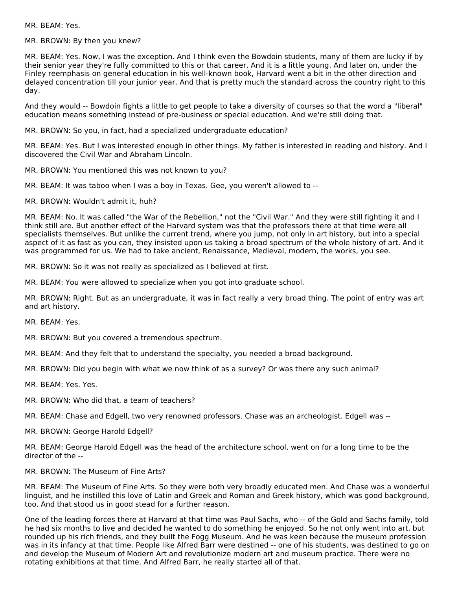MR. BEAM: Yes.

MR. BROWN: By then you knew?

MR. BEAM: Yes. Now, I was the exception. And I think even the Bowdoin students, many of them are lucky if by their senior year they're fully committed to this or that career. And it is a little young. And later on, under the Finley reemphasis on general education in his well-known book, Harvard went a bit in the other direction and delayed concentration till your junior year. And that is pretty much the standard across the country right to this day.

And they would -- Bowdoin fights a little to get people to take a diversity of courses so that the word a "liberal" education means something instead of pre-business or special education. And we're still doing that.

MR. BROWN: So you, in fact, had a specialized undergraduate education?

MR. BEAM: Yes. But I was interested enough in other things. My father is interested in reading and history. And I discovered the Civil War and Abraham Lincoln.

MR. BROWN: You mentioned this was not known to you?

MR. BEAM: It was taboo when I was a boy in Texas. Gee, you weren't allowed to --

MR. BROWN: Wouldn't admit it, huh?

MR. BEAM: No. It was called "the War of the Rebellion," not the "Civil War." And they were still fighting it and I think still are. But another effect of the Harvard system was that the professors there at that time were all specialists themselves. But unlike the current trend, where you jump, not only in art history, but into a special aspect of it as fast as you can, they insisted upon us taking a broad spectrum of the whole history of art. And it was programmed for us. We had to take ancient, Renaissance, Medieval, modern, the works, you see.

MR. BROWN: So it was not really as specialized as I believed at first.

MR. BEAM: You were allowed to specialize when you got into graduate school.

MR. BROWN: Right. But as an undergraduate, it was in fact really a very broad thing. The point of entry was art and art history.

MR. BEAM: Yes.

MR. BROWN: But you covered a tremendous spectrum.

MR. BEAM: And they felt that to understand the specialty, you needed a broad background.

MR. BROWN: Did you begin with what we now think of as a survey? Or was there any such animal?

MR. BEAM: Yes. Yes.

MR. BROWN: Who did that, a team of teachers?

MR. BEAM: Chase and Edgell, two very renowned professors. Chase was an archeologist. Edgell was --

MR. BROWN: George Harold Edgell?

MR. BEAM: George Harold Edgell was the head of the architecture school, went on for a long time to be the director of the --

MR. BROWN: The Museum of Fine Arts?

MR. BEAM: The Museum of Fine Arts. So they were both very broadly educated men. And Chase was a wonderful linguist, and he instilled this love of Latin and Greek and Roman and Greek history, which was good background, too. And that stood us in good stead for a further reason.

One of the leading forces there at Harvard at that time was Paul Sachs, who -- of the Gold and Sachs family, told he had six months to live and decided he wanted to do something he enjoyed. So he not only went into art, but rounded up his rich friends, and they built the Fogg Museum. And he was keen because the museum profession was in its infancy at that time. People like Alfred Barr were destined -- one of his students, was destined to go on and develop the Museum of Modern Art and revolutionize modern art and museum practice. There were no rotating exhibitions at that time. And Alfred Barr, he really started all of that.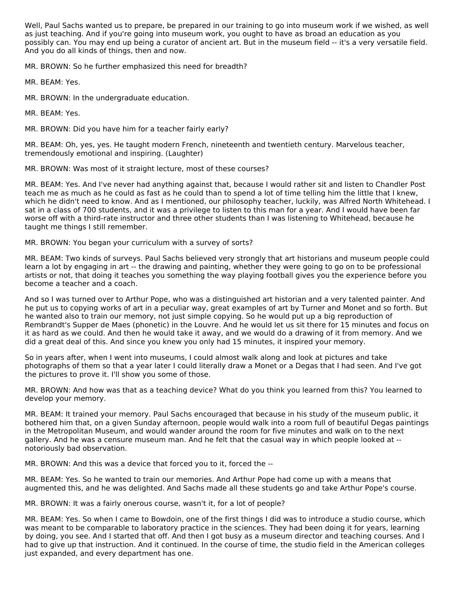Well, Paul Sachs wanted us to prepare, be prepared in our training to go into museum work if we wished, as well as just teaching. And if you're going into museum work, you ought to have as broad an education as you possibly can. You may end up being a curator of ancient art. But in the museum field -- it's a very versatile field. And you do all kinds of things, then and now.

MR. BROWN: So he further emphasized this need for breadth?

MR. BEAM: Yes.

MR. BROWN: In the undergraduate education.

MR. BEAM: Yes.

MR. BROWN: Did you have him for a teacher fairly early?

MR. BEAM: Oh, yes, yes. He taught modern French, nineteenth and twentieth century. Marvelous teacher, tremendously emotional and inspiring. (Laughter)

MR. BROWN: Was most of it straight lecture, most of these courses?

MR. BEAM: Yes. And I've never had anything against that, because I would rather sit and listen to Chandler Post teach me as much as he could as fast as he could than to spend a lot of time telling him the little that I knew, which he didn't need to know. And as I mentioned, our philosophy teacher, luckily, was Alfred North Whitehead. I sat in a class of 700 students, and it was a privilege to listen to this man for a year. And I would have been far worse off with a third-rate instructor and three other students than I was listening to Whitehead, because he taught me things I still remember.

MR. BROWN: You began your curriculum with a survey of sorts?

MR. BEAM: Two kinds of surveys. Paul Sachs believed very strongly that art historians and museum people could learn a lot by engaging in art -- the drawing and painting, whether they were going to go on to be professional artists or not, that doing it teaches you something the way playing football gives you the experience before you become a teacher and a coach.

And so I was turned over to Arthur Pope, who was a distinguished art historian and a very talented painter. And he put us to copying works of art in a peculiar way, great examples of art by Turner and Monet and so forth. But he wanted also to train our memory, not just simple copying. So he would put up a big reproduction of Rembrandt's Supper de Maes (phonetic) in the Louvre. And he would let us sit there for 15 minutes and focus on it as hard as we could. And then he would take it away, and we would do a drawing of it from memory. And we did a great deal of this. And since you knew you only had 15 minutes, it inspired your memory.

So in years after, when I went into museums, I could almost walk along and look at pictures and take photographs of them so that a year later I could literally draw a Monet or a Degas that I had seen. And I've got the pictures to prove it. I'll show you some of those.

MR. BROWN: And how was that as a teaching device? What do you think you learned from this? You learned to develop your memory.

MR. BEAM: It trained your memory. Paul Sachs encouraged that because in his study of the museum public, it bothered him that, on a given Sunday afternoon, people would walk into a room full of beautiful Degas paintings in the Metropolitan Museum, and would wander around the room for five minutes and walk on to the next gallery. And he was a censure museum man. And he felt that the casual way in which people looked at - notoriously bad observation.

MR. BROWN: And this was a device that forced you to it, forced the --

MR. BEAM: Yes. So he wanted to train our memories. And Arthur Pope had come up with a means that augmented this, and he was delighted. And Sachs made all these students go and take Arthur Pope's course.

MR. BROWN: It was a fairly onerous course, wasn't it, for a lot of people?

MR. BEAM: Yes. So when I came to Bowdoin, one of the first things I did was to introduce a studio course, which was meant to be comparable to laboratory practice in the sciences. They had been doing it for years, learning by doing, you see. And I started that off. And then I got busy as a museum director and teaching courses. And I had to give up that instruction. And it continued. In the course of time, the studio field in the American colleges just expanded, and every department has one.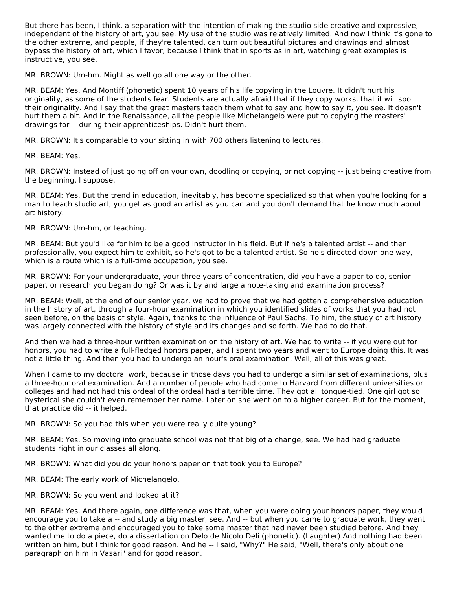But there has been, I think, a separation with the intention of making the studio side creative and expressive, independent of the history of art, you see. My use of the studio was relatively limited. And now I think it's gone to the other extreme, and people, if they're talented, can turn out beautiful pictures and drawings and almost bypass the history of art, which I favor, because I think that in sports as in art, watching great examples is instructive, you see.

MR. BROWN: Um-hm. Might as well go all one way or the other.

MR. BEAM: Yes. And Montiff (phonetic) spent 10 years of his life copying in the Louvre. It didn't hurt his originality, as some of the students fear. Students are actually afraid that if they copy works, that it will spoil their originality. And I say that the great masters teach them what to say and how to say it, you see. It doesn't hurt them a bit. And in the Renaissance, all the people like Michelangelo were put to copying the masters' drawings for -- during their apprenticeships. Didn't hurt them.

MR. BROWN: It's comparable to your sitting in with 700 others listening to lectures.

MR. BEAM: Yes.

MR. BROWN: Instead of just going off on your own, doodling or copying, or not copying -- just being creative from the beginning, I suppose.

MR. BEAM: Yes. But the trend in education, inevitably, has become specialized so that when you're looking for a man to teach studio art, you get as good an artist as you can and you don't demand that he know much about art history.

MR. BROWN: Um-hm, or teaching.

MR. BEAM: But you'd like for him to be a good instructor in his field. But if he's a talented artist -- and then professionally, you expect him to exhibit, so he's got to be a talented artist. So he's directed down one way, which is a route which is a full-time occupation, you see.

MR. BROWN: For your undergraduate, your three years of concentration, did you have a paper to do, senior paper, or research you began doing? Or was it by and large a note-taking and examination process?

MR. BEAM: Well, at the end of our senior year, we had to prove that we had gotten a comprehensive education in the history of art, through a four-hour examination in which you identified slides of works that you had not seen before, on the basis of style. Again, thanks to the influence of Paul Sachs. To him, the study of art history was largely connected with the history of style and its changes and so forth. We had to do that.

And then we had a three-hour written examination on the history of art. We had to write -- if you were out for honors, you had to write a full-fledged honors paper, and I spent two years and went to Europe doing this. It was not a little thing. And then you had to undergo an hour's oral examination. Well, all of this was great.

When I came to my doctoral work, because in those days you had to undergo a similar set of examinations, plus a three-hour oral examination. And a number of people who had come to Harvard from different universities or colleges and had not had this ordeal of the ordeal had a terrible time. They got all tongue-tied. One girl got so hysterical she couldn't even remember her name. Later on she went on to a higher career. But for the moment, that practice did -- it helped.

MR. BROWN: So you had this when you were really quite young?

MR. BEAM: Yes. So moving into graduate school was not that big of a change, see. We had had graduate students right in our classes all along.

MR. BROWN: What did you do your honors paper on that took you to Europe?

MR. BEAM: The early work of Michelangelo.

MR. BROWN: So you went and looked at it?

MR. BEAM: Yes. And there again, one difference was that, when you were doing your honors paper, they would encourage you to take a -- and study a big master, see. And -- but when you came to graduate work, they went to the other extreme and encouraged you to take some master that had never been studied before. And they wanted me to do a piece, do a dissertation on Delo de Nicolo Deli (phonetic). (Laughter) And nothing had been written on him, but I think for good reason. And he -- I said, "Why?" He said, "Well, there's only about one paragraph on him in Vasari" and for good reason.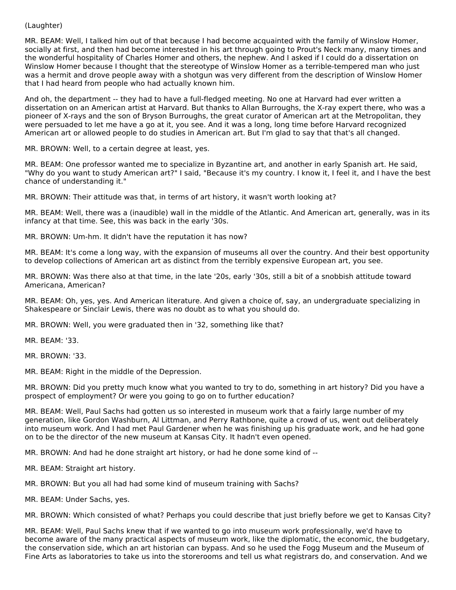#### (Laughter)

MR. BEAM: Well, I talked him out of that because I had become acquainted with the family of Winslow Homer, socially at first, and then had become interested in his art through going to Prout's Neck many, many times and the wonderful hospitality of Charles Homer and others, the nephew. And I asked if I could do a dissertation on Winslow Homer because I thought that the stereotype of Winslow Homer as a terrible-tempered man who just was a hermit and drove people away with a shotgun was very different from the description of Winslow Homer that I had heard from people who had actually known him.

And oh, the department -- they had to have a full-fledged meeting. No one at Harvard had ever written a dissertation on an American artist at Harvard. But thanks to Allan Burroughs, the X-ray expert there, who was a pioneer of X-rays and the son of Bryson Burroughs, the great curator of American art at the Metropolitan, they were persuaded to let me have a go at it, you see. And it was a long, long time before Harvard recognized American art or allowed people to do studies in American art. But I'm glad to say that that's all changed.

MR. BROWN: Well, to a certain degree at least, yes.

MR. BEAM: One professor wanted me to specialize in Byzantine art, and another in early Spanish art. He said, "Why do you want to study American art?" I said, "Because it's my country. I know it, I feel it, and I have the best chance of understanding it."

MR. BROWN: Their attitude was that, in terms of art history, it wasn't worth looking at?

MR. BEAM: Well, there was a (inaudible) wall in the middle of the Atlantic. And American art, generally, was in its infancy at that time. See, this was back in the early '30s.

MR. BROWN: Um-hm. It didn't have the reputation it has now?

MR. BEAM: It's come a long way, with the expansion of museums all over the country. And their best opportunity to develop collections of American art as distinct from the terribly expensive European art, you see.

MR. BROWN: Was there also at that time, in the late '20s, early '30s, still a bit of a snobbish attitude toward Americana, American?

MR. BEAM: Oh, yes, yes. And American literature. And given a choice of, say, an undergraduate specializing in Shakespeare or Sinclair Lewis, there was no doubt as to what you should do.

MR. BROWN: Well, you were graduated then in '32, something like that?

MR. BEAM: '33.

MR. BROWN: '33.

MR. BEAM: Right in the middle of the Depression.

MR. BROWN: Did you pretty much know what you wanted to try to do, something in art history? Did you have a prospect of employment? Or were you going to go on to further education?

MR. BEAM: Well, Paul Sachs had gotten us so interested in museum work that a fairly large number of my generation, like Gordon Washburn, Al Littman, and Perry Rathbone, quite a crowd of us, went out deliberately into museum work. And I had met Paul Gardener when he was finishing up his graduate work, and he had gone on to be the director of the new museum at Kansas City. It hadn't even opened.

MR. BROWN: And had he done straight art history, or had he done some kind of --

MR. BEAM: Straight art history.

MR. BROWN: But you all had had some kind of museum training with Sachs?

MR. BEAM: Under Sachs, yes.

MR. BROWN: Which consisted of what? Perhaps you could describe that just briefly before we get to Kansas City?

MR. BEAM: Well, Paul Sachs knew that if we wanted to go into museum work professionally, we'd have to become aware of the many practical aspects of museum work, like the diplomatic, the economic, the budgetary, the conservation side, which an art historian can bypass. And so he used the Fogg Museum and the Museum of Fine Arts as laboratories to take us into the storerooms and tell us what registrars do, and conservation. And we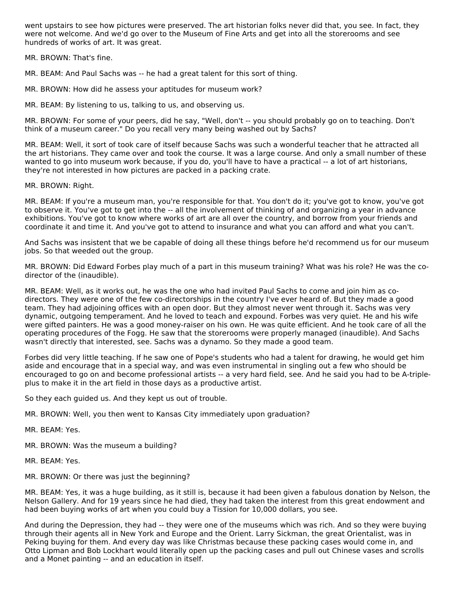went upstairs to see how pictures were preserved. The art historian folks never did that, you see. In fact, they were not welcome. And we'd go over to the Museum of Fine Arts and get into all the storerooms and see hundreds of works of art. It was great.

MR. BROWN: That's fine.

MR. BEAM: And Paul Sachs was -- he had a great talent for this sort of thing.

MR. BROWN: How did he assess your aptitudes for museum work?

MR. BEAM: By listening to us, talking to us, and observing us.

MR. BROWN: For some of your peers, did he say, "Well, don't -- you should probably go on to teaching. Don't think of a museum career." Do you recall very many being washed out by Sachs?

MR. BEAM: Well, it sort of took care of itself because Sachs was such a wonderful teacher that he attracted all the art historians. They came over and took the course. It was a large course. And only a small number of these wanted to go into museum work because, if you do, you'll have to have a practical -- a lot of art historians, they're not interested in how pictures are packed in a packing crate.

MR. BROWN: Right.

MR. BEAM: If you're a museum man, you're responsible for that. You don't do it; you've got to know, you've got to observe it. You've got to get into the -- all the involvement of thinking of and organizing a year in advance exhibitions. You've got to know where works of art are all over the country, and borrow from your friends and coordinate it and time it. And you've got to attend to insurance and what you can afford and what you can't.

And Sachs was insistent that we be capable of doing all these things before he'd recommend us for our museum jobs. So that weeded out the group.

MR. BROWN: Did Edward Forbes play much of a part in this museum training? What was his role? He was the codirector of the (inaudible).

MR. BEAM: Well, as it works out, he was the one who had invited Paul Sachs to come and join him as codirectors. They were one of the few co-directorships in the country I've ever heard of. But they made a good team. They had adjoining offices with an open door. But they almost never went through it. Sachs was very dynamic, outgoing temperament. And he loved to teach and expound. Forbes was very quiet. He and his wife were gifted painters. He was a good money-raiser on his own. He was quite efficient. And he took care of all the operating procedures of the Fogg. He saw that the storerooms were properly managed (inaudible). And Sachs wasn't directly that interested, see. Sachs was a dynamo. So they made a good team.

Forbes did very little teaching. If he saw one of Pope's students who had a talent for drawing, he would get him aside and encourage that in a special way, and was even instrumental in singling out a few who should be encouraged to go on and become professional artists -- a very hard field, see. And he said you had to be A-tripleplus to make it in the art field in those days as a productive artist.

So they each guided us. And they kept us out of trouble.

MR. BROWN: Well, you then went to Kansas City immediately upon graduation?

MR. BEAM: Yes.

MR. BROWN: Was the museum a building?

MR. BEAM: Yes.

MR. BROWN: Or there was just the beginning?

MR. BEAM: Yes, it was a huge building, as it still is, because it had been given a fabulous donation by Nelson, the Nelson Gallery. And for 19 years since he had died, they had taken the interest from this great endowment and had been buying works of art when you could buy a Tission for 10,000 dollars, you see.

And during the Depression, they had -- they were one of the museums which was rich. And so they were buying through their agents all in New York and Europe and the Orient. Larry Sickman, the great Orientalist, was in Peking buying for them. And every day was like Christmas because these packing cases would come in, and Otto Lipman and Bob Lockhart would literally open up the packing cases and pull out Chinese vases and scrolls and a Monet painting -- and an education in itself.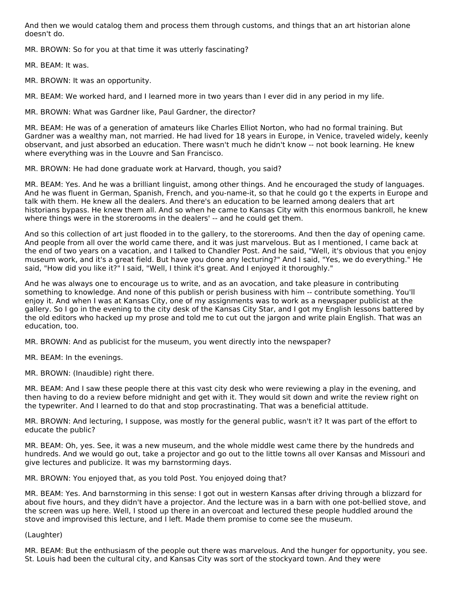And then we would catalog them and process them through customs, and things that an art historian alone doesn't do.

MR. BROWN: So for you at that time it was utterly fascinating?

MR. BEAM: It was.

MR. BROWN: It was an opportunity.

MR. BEAM: We worked hard, and I learned more in two years than I ever did in any period in my life.

MR. BROWN: What was Gardner like, Paul Gardner, the director?

MR. BEAM: He was of a generation of amateurs like Charles Elliot Norton, who had no formal training. But Gardner was a wealthy man, not married. He had lived for 18 years in Europe, in Venice, traveled widely, keenly observant, and just absorbed an education. There wasn't much he didn't know -- not book learning. He knew where everything was in the Louvre and San Francisco.

MR. BROWN: He had done graduate work at Harvard, though, you said?

MR. BEAM: Yes. And he was a brilliant linguist, among other things. And he encouraged the study of languages. And he was fluent in German, Spanish, French, and you-name-it, so that he could go t the experts in Europe and talk with them. He knew all the dealers. And there's an education to be learned among dealers that art historians bypass. He knew them all. And so when he came to Kansas City with this enormous bankroll, he knew where things were in the storerooms in the dealers' -- and he could get them.

And so this collection of art just flooded in to the gallery, to the storerooms. And then the day of opening came. And people from all over the world came there, and it was just marvelous. But as I mentioned, I came back at the end of two years on a vacation, and I talked to Chandler Post. And he said, "Well, it's obvious that you enjoy museum work, and it's a great field. But have you done any lecturing?" And I said, "Yes, we do everything." He said, "How did you like it?" I said, "Well, I think it's great. And I enjoyed it thoroughly."

And he was always one to encourage us to write, and as an avocation, and take pleasure in contributing something to knowledge. And none of this publish or perish business with him -- contribute something. You'll enjoy it. And when I was at Kansas City, one of my assignments was to work as a newspaper publicist at the gallery. So I go in the evening to the city desk of the Kansas City Star, and I got my English lessons battered by the old editors who hacked up my prose and told me to cut out the jargon and write plain English. That was an education, too.

MR. BROWN: And as publicist for the museum, you went directly into the newspaper?

MR. BEAM: In the evenings.

MR. BROWN: (Inaudible) right there.

MR. BEAM: And I saw these people there at this vast city desk who were reviewing a play in the evening, and then having to do a review before midnight and get with it. They would sit down and write the review right on the typewriter. And I learned to do that and stop procrastinating. That was a beneficial attitude.

MR. BROWN: And lecturing, I suppose, was mostly for the general public, wasn't it? It was part of the effort to educate the public?

MR. BEAM: Oh, yes. See, it was a new museum, and the whole middle west came there by the hundreds and hundreds. And we would go out, take a projector and go out to the little towns all over Kansas and Missouri and give lectures and publicize. It was my barnstorming days.

MR. BROWN: You enjoyed that, as you told Post. You enjoyed doing that?

MR. BEAM: Yes. And barnstorming in this sense: I got out in western Kansas after driving through a blizzard for about five hours, and they didn't have a projector. And the lecture was in a barn with one pot-bellied stove, and the screen was up here. Well, I stood up there in an overcoat and lectured these people huddled around the stove and improvised this lecture, and I left. Made them promise to come see the museum.

(Laughter)

MR. BEAM: But the enthusiasm of the people out there was marvelous. And the hunger for opportunity, you see. St. Louis had been the cultural city, and Kansas City was sort of the stockyard town. And they were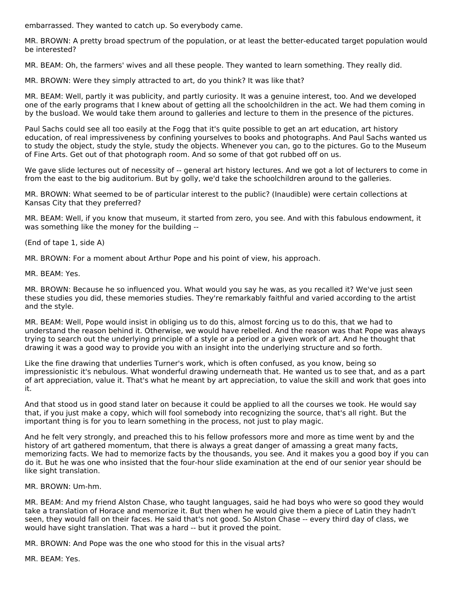embarrassed. They wanted to catch up. So everybody came.

MR. BROWN: A pretty broad spectrum of the population, or at least the better-educated target population would be interested?

MR. BEAM: Oh, the farmers' wives and all these people. They wanted to learn something. They really did.

MR. BROWN: Were they simply attracted to art, do you think? It was like that?

MR. BEAM: Well, partly it was publicity, and partly curiosity. It was a genuine interest, too. And we developed one of the early programs that I knew about of getting all the schoolchildren in the act. We had them coming in by the busload. We would take them around to galleries and lecture to them in the presence of the pictures.

Paul Sachs could see all too easily at the Fogg that it's quite possible to get an art education, art history education, of real impressiveness by confining yourselves to books and photographs. And Paul Sachs wanted us to study the object, study the style, study the objects. Whenever you can, go to the pictures. Go to the Museum of Fine Arts. Get out of that photograph room. And so some of that got rubbed off on us.

We gave slide lectures out of necessity of -- general art history lectures. And we got a lot of lecturers to come in from the east to the big auditorium. But by golly, we'd take the schoolchildren around to the galleries.

MR. BROWN: What seemed to be of particular interest to the public? (Inaudible) were certain collections at Kansas City that they preferred?

MR. BEAM: Well, if you know that museum, it started from zero, you see. And with this fabulous endowment, it was something like the money for the building --

(End of tape 1, side A)

MR. BROWN: For a moment about Arthur Pope and his point of view, his approach.

MR. BEAM: Yes.

MR. BROWN: Because he so influenced you. What would you say he was, as you recalled it? We've just seen these studies you did, these memories studies. They're remarkably faithful and varied according to the artist and the style.

MR. BEAM: Well, Pope would insist in obliging us to do this, almost forcing us to do this, that we had to understand the reason behind it. Otherwise, we would have rebelled. And the reason was that Pope was always trying to search out the underlying principle of a style or a period or a given work of art. And he thought that drawing it was a good way to provide you with an insight into the underlying structure and so forth.

Like the fine drawing that underlies Turner's work, which is often confused, as you know, being so impressionistic it's nebulous. What wonderful drawing underneath that. He wanted us to see that, and as a part of art appreciation, value it. That's what he meant by art appreciation, to value the skill and work that goes into it.

And that stood us in good stand later on because it could be applied to all the courses we took. He would say that, if you just make a copy, which will fool somebody into recognizing the source, that's all right. But the important thing is for you to learn something in the process, not just to play magic.

And he felt very strongly, and preached this to his fellow professors more and more as time went by and the history of art gathered momentum, that there is always a great danger of amassing a great many facts, memorizing facts. We had to memorize facts by the thousands, you see. And it makes you a good boy if you can do it. But he was one who insisted that the four-hour slide examination at the end of our senior year should be like sight translation.

MR. BROWN: Um-hm.

MR. BEAM: And my friend Alston Chase, who taught languages, said he had boys who were so good they would take a translation of Horace and memorize it. But then when he would give them a piece of Latin they hadn't seen, they would fall on their faces. He said that's not good. So Alston Chase -- every third day of class, we would have sight translation. That was a hard -- but it proved the point.

MR. BROWN: And Pope was the one who stood for this in the visual arts?

MR. BEAM: Yes.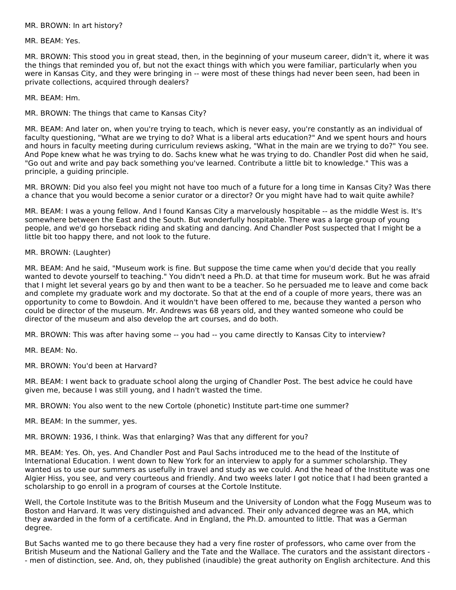MR. BROWN: In art history?

MR. BEAM: Yes.

MR. BROWN: This stood you in great stead, then, in the beginning of your museum career, didn't it, where it was the things that reminded you of, but not the exact things with which you were familiar, particularly when you were in Kansas City, and they were bringing in -- were most of these things had never been seen, had been in private collections, acquired through dealers?

MR. BEAM: Hm.

MR. BROWN: The things that came to Kansas City?

MR. BEAM: And later on, when you're trying to teach, which is never easy, you're constantly as an individual of faculty questioning, "What are we trying to do? What is a liberal arts education?" And we spent hours and hours and hours in faculty meeting during curriculum reviews asking, "What in the main are we trying to do?" You see. And Pope knew what he was trying to do. Sachs knew what he was trying to do. Chandler Post did when he said, "Go out and write and pay back something you've learned. Contribute a little bit to knowledge." This was a principle, a guiding principle.

MR. BROWN: Did you also feel you might not have too much of a future for a long time in Kansas City? Was there a chance that you would become a senior curator or a director? Or you might have had to wait quite awhile?

MR. BEAM: I was a young fellow. And I found Kansas City a marvelously hospitable -- as the middle West is. It's somewhere between the East and the South. But wonderfully hospitable. There was a large group of young people, and we'd go horseback riding and skating and dancing. And Chandler Post suspected that I might be a little bit too happy there, and not look to the future.

MR. BROWN: (Laughter)

MR. BEAM: And he said, "Museum work is fine. But suppose the time came when you'd decide that you really wanted to devote yourself to teaching." You didn't need a Ph.D. at that time for museum work. But he was afraid that I might let several years go by and then want to be a teacher. So he persuaded me to leave and come back and complete my graduate work and my doctorate. So that at the end of a couple of more years, there was an opportunity to come to Bowdoin. And it wouldn't have been offered to me, because they wanted a person who could be director of the museum. Mr. Andrews was 68 years old, and they wanted someone who could be director of the museum and also develop the art courses, and do both.

MR. BROWN: This was after having some -- you had -- you came directly to Kansas City to interview?

MR. BEAM: No.

MR. BROWN: You'd been at Harvard?

MR. BEAM: I went back to graduate school along the urging of Chandler Post. The best advice he could have given me, because I was still young, and I hadn't wasted the time.

MR. BROWN: You also went to the new Cortole (phonetic) Institute part-time one summer?

MR. BEAM: In the summer, yes.

MR. BROWN: 1936, I think. Was that enlarging? Was that any different for you?

MR. BEAM: Yes. Oh, yes. And Chandler Post and Paul Sachs introduced me to the head of the Institute of International Education. I went down to New York for an interview to apply for a summer scholarship. They wanted us to use our summers as usefully in travel and study as we could. And the head of the Institute was one Algier Hiss, you see, and very courteous and friendly. And two weeks later I got notice that I had been granted a scholarship to go enroll in a program of courses at the Cortole Institute.

Well, the Cortole Institute was to the British Museum and the University of London what the Fogg Museum was to Boston and Harvard. It was very distinguished and advanced. Their only advanced degree was an MA, which they awarded in the form of a certificate. And in England, the Ph.D. amounted to little. That was a German degree.

But Sachs wanted me to go there because they had a very fine roster of professors, who came over from the British Museum and the National Gallery and the Tate and the Wallace. The curators and the assistant directors - - men of distinction, see. And, oh, they published (inaudible) the great authority on English architecture. And this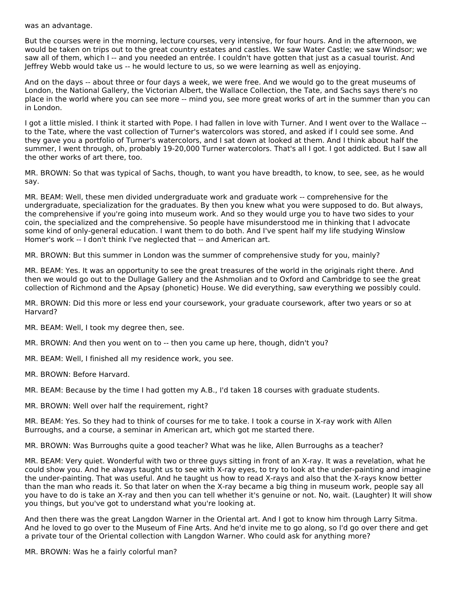was an advantage.

But the courses were in the morning, lecture courses, very intensive, for four hours. And in the afternoon, we would be taken on trips out to the great country estates and castles. We saw Water Castle; we saw Windsor; we saw all of them, which I -- and you needed an entrée. I couldn't have gotten that just as a casual tourist. And Jeffrey Webb would take us -- he would lecture to us, so we were learning as well as enjoying.

And on the days -- about three or four days a week, we were free. And we would go to the great museums of London, the National Gallery, the Victorian Albert, the Wallace Collection, the Tate, and Sachs says there's no place in the world where you can see more -- mind you, see more great works of art in the summer than you can in London.

I got a little misled. I think it started with Pope. I had fallen in love with Turner. And I went over to the Wallace - to the Tate, where the vast collection of Turner's watercolors was stored, and asked if I could see some. And they gave you a portfolio of Turner's watercolors, and I sat down at looked at them. And I think about half the summer, I went through, oh, probably 19-20,000 Turner watercolors. That's all I got. I got addicted. But I saw all the other works of art there, too.

MR. BROWN: So that was typical of Sachs, though, to want you have breadth, to know, to see, see, as he would say.

MR. BEAM: Well, these men divided undergraduate work and graduate work -- comprehensive for the undergraduate, specialization for the graduates. By then you knew what you were supposed to do. But always, the comprehensive if you're going into museum work. And so they would urge you to have two sides to your coin, the specialized and the comprehensive. So people have misunderstood me in thinking that I advocate some kind of only-general education. I want them to do both. And I've spent half my life studying Winslow Homer's work -- I don't think I've neglected that -- and American art.

MR. BROWN: But this summer in London was the summer of comprehensive study for you, mainly?

MR. BEAM: Yes. It was an opportunity to see the great treasures of the world in the originals right there. And then we would go out to the Dullage Gallery and the Ashmolian and to Oxford and Cambridge to see the great collection of Richmond and the Apsay (phonetic) House. We did everything, saw everything we possibly could.

MR. BROWN: Did this more or less end your coursework, your graduate coursework, after two years or so at Harvard?

MR. BEAM: Well, I took my degree then, see.

MR. BROWN: And then you went on to -- then you came up here, though, didn't you?

MR. BEAM: Well, I finished all my residence work, you see.

MR. BROWN: Before Harvard.

MR. BEAM: Because by the time I had gotten my A.B., I'd taken 18 courses with graduate students.

MR. BROWN: Well over half the requirement, right?

MR. BEAM: Yes. So they had to think of courses for me to take. I took a course in X-ray work with Allen Burroughs, and a course, a seminar in American art, which got me started there.

MR. BROWN: Was Burroughs quite a good teacher? What was he like, Allen Burroughs as a teacher?

MR. BEAM: Very quiet. Wonderful with two or three guys sitting in front of an X-ray. It was a revelation, what he could show you. And he always taught us to see with X-ray eyes, to try to look at the under-painting and imagine the under-painting. That was useful. And he taught us how to read X-rays and also that the X-rays know better than the man who reads it. So that later on when the X-ray became a big thing in museum work, people say all you have to do is take an X-ray and then you can tell whether it's genuine or not. No, wait. (Laughter) It will show you things, but you've got to understand what you're looking at.

And then there was the great Langdon Warner in the Oriental art. And I got to know him through Larry Sitma. And he loved to go over to the Museum of Fine Arts. And he'd invite me to go along, so I'd go over there and get a private tour of the Oriental collection with Langdon Warner. Who could ask for anything more?

MR. BROWN: Was he a fairly colorful man?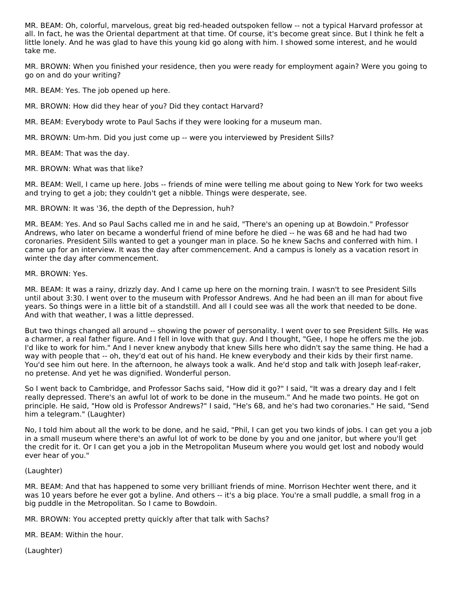MR. BEAM: Oh, colorful, marvelous, great big red-headed outspoken fellow -- not a typical Harvard professor at all. In fact, he was the Oriental department at that time. Of course, it's become great since. But I think he felt a little lonely. And he was glad to have this young kid go along with him. I showed some interest, and he would take me.

MR. BROWN: When you finished your residence, then you were ready for employment again? Were you going to go on and do your writing?

MR. BEAM: Yes. The job opened up here.

MR. BROWN: How did they hear of you? Did they contact Harvard?

MR. BEAM: Everybody wrote to Paul Sachs if they were looking for a museum man.

MR. BROWN: Um-hm. Did you just come up -- were you interviewed by President Sills?

MR. BEAM: That was the day.

MR. BROWN: What was that like?

MR. BEAM: Well, I came up here. Jobs -- friends of mine were telling me about going to New York for two weeks and trying to get a job; they couldn't get a nibble. Things were desperate, see.

MR. BROWN: It was '36, the depth of the Depression, huh?

MR. BEAM: Yes. And so Paul Sachs called me in and he said, "There's an opening up at Bowdoin." Professor Andrews, who later on became a wonderful friend of mine before he died -- he was 68 and he had had two coronaries. President Sills wanted to get a younger man in place. So he knew Sachs and conferred with him. I came up for an interview. It was the day after commencement. And a campus is lonely as a vacation resort in winter the day after commencement.

#### MR. BROWN: Yes.

MR. BEAM: It was a rainy, drizzly day. And I came up here on the morning train. I wasn't to see President Sills until about 3:30. I went over to the museum with Professor Andrews. And he had been an ill man for about five years. So things were in a little bit of a standstill. And all I could see was all the work that needed to be done. And with that weather, I was a little depressed.

But two things changed all around -- showing the power of personality. I went over to see President Sills. He was a charmer, a real father figure. And I fell in love with that guy. And I thought, "Gee, I hope he offers me the job. I'd like to work for him." And I never knew anybody that knew Sills here who didn't say the same thing. He had a way with people that -- oh, they'd eat out of his hand. He knew everybody and their kids by their first name. You'd see him out here. In the afternoon, he always took a walk. And he'd stop and talk with Joseph leaf-raker, no pretense. And yet he was dignified. Wonderful person.

So I went back to Cambridge, and Professor Sachs said, "How did it go?" I said, "It was a dreary day and I felt really depressed. There's an awful lot of work to be done in the museum." And he made two points. He got on principle. He said, "How old is Professor Andrews?" I said, "He's 68, and he's had two coronaries." He said, "Send him a telegram." (Laughter)

No, I told him about all the work to be done, and he said, "Phil, I can get you two kinds of jobs. I can get you a job in a small museum where there's an awful lot of work to be done by you and one janitor, but where you'll get the credit for it. Or I can get you a job in the Metropolitan Museum where you would get lost and nobody would ever hear of you."

#### (Laughter)

MR. BEAM: And that has happened to some very brilliant friends of mine. Morrison Hechter went there, and it was 10 years before he ever got a byline. And others -- it's a big place. You're a small puddle, a small frog in a big puddle in the Metropolitan. So I came to Bowdoin.

MR. BROWN: You accepted pretty quickly after that talk with Sachs?

MR. BEAM: Within the hour.

(Laughter)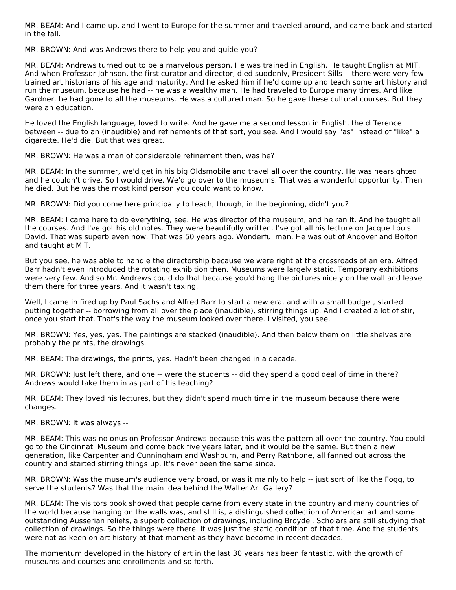MR. BEAM: And I came up, and I went to Europe for the summer and traveled around, and came back and started in the fall.

MR. BROWN: And was Andrews there to help you and guide you?

MR. BEAM: Andrews turned out to be a marvelous person. He was trained in English. He taught English at MIT. And when Professor Johnson, the first curator and director, died suddenly, President Sills -- there were very few trained art historians of his age and maturity. And he asked him if he'd come up and teach some art history and run the museum, because he had -- he was a wealthy man. He had traveled to Europe many times. And like Gardner, he had gone to all the museums. He was a cultured man. So he gave these cultural courses. But they were an education.

He loved the English language, loved to write. And he gave me a second lesson in English, the difference between -- due to an (inaudible) and refinements of that sort, you see. And I would say "as" instead of "like" a cigarette. He'd die. But that was great.

MR. BROWN: He was a man of considerable refinement then, was he?

MR. BEAM: In the summer, we'd get in his big Oldsmobile and travel all over the country. He was nearsighted and he couldn't drive. So I would drive. We'd go over to the museums. That was a wonderful opportunity. Then he died. But he was the most kind person you could want to know.

MR. BROWN: Did you come here principally to teach, though, in the beginning, didn't you?

MR. BEAM: I came here to do everything, see. He was director of the museum, and he ran it. And he taught all the courses. And I've got his old notes. They were beautifully written. I've got all his lecture on Jacque Louis David. That was superb even now. That was 50 years ago. Wonderful man. He was out of Andover and Bolton and taught at MIT.

But you see, he was able to handle the directorship because we were right at the crossroads of an era. Alfred Barr hadn't even introduced the rotating exhibition then. Museums were largely static. Temporary exhibitions were very few. And so Mr. Andrews could do that because you'd hang the pictures nicely on the wall and leave them there for three years. And it wasn't taxing.

Well, I came in fired up by Paul Sachs and Alfred Barr to start a new era, and with a small budget, started putting together -- borrowing from all over the place (inaudible), stirring things up. And I created a lot of stir, once you start that. That's the way the museum looked over there. I visited, you see.

MR. BROWN: Yes, yes, yes. The paintings are stacked (inaudible). And then below them on little shelves are probably the prints, the drawings.

MR. BEAM: The drawings, the prints, yes. Hadn't been changed in a decade.

MR. BROWN: Just left there, and one -- were the students -- did they spend a good deal of time in there? Andrews would take them in as part of his teaching?

MR. BEAM: They loved his lectures, but they didn't spend much time in the museum because there were changes.

MR. BROWN: It was always --

MR. BEAM: This was no onus on Professor Andrews because this was the pattern all over the country. You could go to the Cincinnati Museum and come back five years later, and it would be the same. But then a new generation, like Carpenter and Cunningham and Washburn, and Perry Rathbone, all fanned out across the country and started stirring things up. It's never been the same since.

MR. BROWN: Was the museum's audience very broad, or was it mainly to help -- just sort of like the Fogg, to serve the students? Was that the main idea behind the Walter Art Gallery?

MR. BEAM: The visitors book showed that people came from every state in the country and many countries of the world because hanging on the walls was, and still is, a distinguished collection of American art and some outstanding Ausserian reliefs, a superb collection of drawings, including Broydel. Scholars are still studying that collection of drawings. So the things were there. It was just the static condition of that time. And the students were not as keen on art history at that moment as they have become in recent decades.

The momentum developed in the history of art in the last 30 years has been fantastic, with the growth of museums and courses and enrollments and so forth.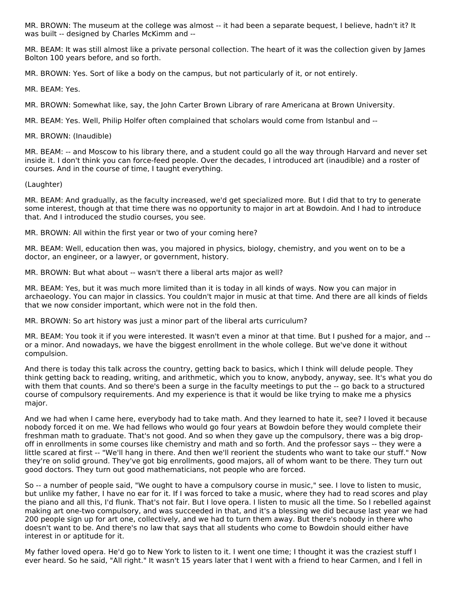MR. BROWN: The museum at the college was almost -- it had been a separate bequest, I believe, hadn't it? It was built -- designed by Charles McKimm and --

MR. BEAM: It was still almost like a private personal collection. The heart of it was the collection given by James Bolton 100 years before, and so forth.

MR. BROWN: Yes. Sort of like a body on the campus, but not particularly of it, or not entirely.

MR. BEAM: Yes.

MR. BROWN: Somewhat like, say, the John Carter Brown Library of rare Americana at Brown University.

MR. BEAM: Yes. Well, Philip Holfer often complained that scholars would come from Istanbul and --

MR. BROWN: (Inaudible)

MR. BEAM: -- and Moscow to his library there, and a student could go all the way through Harvard and never set inside it. I don't think you can force-feed people. Over the decades, I introduced art (inaudible) and a roster of courses. And in the course of time, I taught everything.

(Laughter)

MR. BEAM: And gradually, as the faculty increased, we'd get specialized more. But I did that to try to generate some interest, though at that time there was no opportunity to major in art at Bowdoin. And I had to introduce that. And I introduced the studio courses, you see.

MR. BROWN: All within the first year or two of your coming here?

MR. BEAM: Well, education then was, you majored in physics, biology, chemistry, and you went on to be a doctor, an engineer, or a lawyer, or government, history.

MR. BROWN: But what about -- wasn't there a liberal arts major as well?

MR. BEAM: Yes, but it was much more limited than it is today in all kinds of ways. Now you can major in archaeology. You can major in classics. You couldn't major in music at that time. And there are all kinds of fields that we now consider important, which were not in the fold then.

MR. BROWN: So art history was just a minor part of the liberal arts curriculum?

MR. BEAM: You took it if you were interested. It wasn't even a minor at that time. But I pushed for a major, and - or a minor. And nowadays, we have the biggest enrollment in the whole college. But we've done it without compulsion.

And there is today this talk across the country, getting back to basics, which I think will delude people. They think getting back to reading, writing, and arithmetic, which you to know, anybody, anyway, see. It's what you do with them that counts. And so there's been a surge in the faculty meetings to put the -- go back to a structured course of compulsory requirements. And my experience is that it would be like trying to make me a physics major.

And we had when I came here, everybody had to take math. And they learned to hate it, see? I loved it because nobody forced it on me. We had fellows who would go four years at Bowdoin before they would complete their freshman math to graduate. That's not good. And so when they gave up the compulsory, there was a big dropoff in enrollments in some courses like chemistry and math and so forth. And the professor says -- they were a little scared at first -- "We'll hang in there. And then we'll reorient the students who want to take our stuff." Now they're on solid ground. They've got big enrollments, good majors, all of whom want to be there. They turn out good doctors. They turn out good mathematicians, not people who are forced.

So -- a number of people said, "We ought to have a compulsory course in music," see. I love to listen to music, but unlike my father, I have no ear for it. If I was forced to take a music, where they had to read scores and play the piano and all this, I'd flunk. That's not fair. But I love opera. I listen to music all the time. So I rebelled against making art one-two compulsory, and was succeeded in that, and it's a blessing we did because last year we had 200 people sign up for art one, collectively, and we had to turn them away. But there's nobody in there who doesn't want to be. And there's no law that says that all students who come to Bowdoin should either have interest in or aptitude for it.

My father loved opera. He'd go to New York to listen to it. I went one time; I thought it was the craziest stuff I ever heard. So he said, "All right." It wasn't 15 years later that I went with a friend to hear Carmen, and I fell in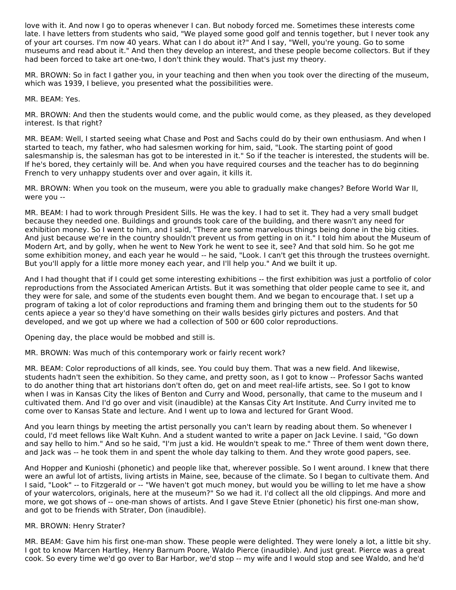love with it. And now I go to operas whenever I can. But nobody forced me. Sometimes these interests come late. I have letters from students who said, "We played some good golf and tennis together, but I never took any of your art courses. I'm now 40 years. What can I do about it?" And I say, "Well, you're young. Go to some museums and read about it." And then they develop an interest, and these people become collectors. But if they had been forced to take art one-two, I don't think they would. That's just my theory.

MR. BROWN: So in fact I gather you, in your teaching and then when you took over the directing of the museum, which was 1939, I believe, you presented what the possibilities were.

MR. BEAM: Yes.

MR. BROWN: And then the students would come, and the public would come, as they pleased, as they developed interest. Is that right?

MR. BEAM: Well, I started seeing what Chase and Post and Sachs could do by their own enthusiasm. And when I started to teach, my father, who had salesmen working for him, said, "Look. The starting point of good salesmanship is, the salesman has got to be interested in it." So if the teacher is interested, the students will be. If he's bored, they certainly will be. And when you have required courses and the teacher has to do beginning French to very unhappy students over and over again, it kills it.

MR. BROWN: When you took on the museum, were you able to gradually make changes? Before World War II, were you --

MR. BEAM: I had to work through President Sills. He was the key. I had to set it. They had a very small budget because they needed one. Buildings and grounds took care of the building, and there wasn't any need for exhibition money. So I went to him, and I said, "There are some marvelous things being done in the big cities. And just because we're in the country shouldn't prevent us from getting in on it." I told him about the Museum of Modern Art, and by golly, when he went to New York he went to see it, see? And that sold him. So he got me some exhibition money, and each year he would -- he said, "Look. I can't get this through the trustees overnight. But you'll apply for a little more money each year, and I'll help you." And we built it up.

And I had thought that if I could get some interesting exhibitions -- the first exhibition was just a portfolio of color reproductions from the Associated American Artists. But it was something that older people came to see it, and they were for sale, and some of the students even bought them. And we began to encourage that. I set up a program of taking a lot of color reproductions and framing them and bringing them out to the students for 50 cents apiece a year so they'd have something on their walls besides girly pictures and posters. And that developed, and we got up where we had a collection of 500 or 600 color reproductions.

Opening day, the place would be mobbed and still is.

MR. BROWN: Was much of this contemporary work or fairly recent work?

MR. BEAM: Color reproductions of all kinds, see. You could buy them. That was a new field. And likewise, students hadn't seen the exhibition. So they came, and pretty soon, as I got to know -- Professor Sachs wanted to do another thing that art historians don't often do, get on and meet real-life artists, see. So I got to know when I was in Kansas City the likes of Benton and Curry and Wood, personally, that came to the museum and I cultivated them. And I'd go over and visit (inaudible) at the Kansas City Art Institute. And Curry invited me to come over to Kansas State and lecture. And I went up to Iowa and lectured for Grant Wood.

And you learn things by meeting the artist personally you can't learn by reading about them. So whenever I could, I'd meet fellows like Walt Kuhn. And a student wanted to write a paper on Jack Levine. I said, "Go down and say hello to him." And so he said, "I'm just a kid. He wouldn't speak to me." Three of them went down there, and Jack was -- he took them in and spent the whole day talking to them. And they wrote good papers, see.

And Hopper and Kunioshi (phonetic) and people like that, wherever possible. So I went around. I knew that there were an awful lot of artists, living artists in Maine, see, because of the climate. So I began to cultivate them. And I said, "Look" -- to Fitzgerald or -- "We haven't got much money, but would you be willing to let me have a show of your watercolors, originals, here at the museum?" So we had it. I'd collect all the old clippings. And more and more, we got shows of -- one-man shows of artists. And I gave Steve Etnier (phonetic) his first one-man show, and got to be friends with Strater, Don (inaudible).

#### MR. BROWN: Henry Strater?

MR. BEAM: Gave him his first one-man show. These people were delighted. They were lonely a lot, a little bit shy. I got to know Marcen Hartley, Henry Barnum Poore, Waldo Pierce (inaudible). And just great. Pierce was a great cook. So every time we'd go over to Bar Harbor, we'd stop -- my wife and I would stop and see Waldo, and he'd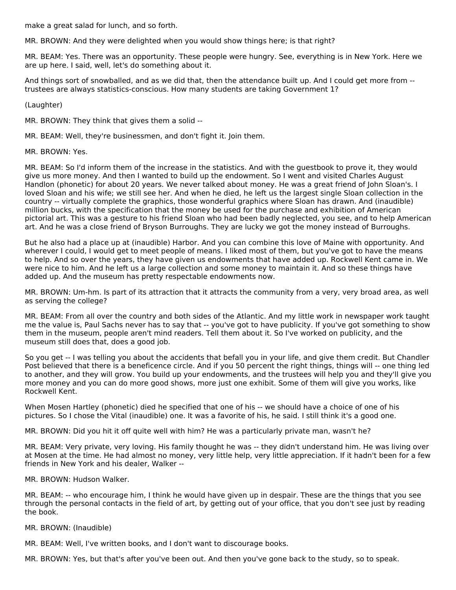make a great salad for lunch, and so forth.

MR. BROWN: And they were delighted when you would show things here; is that right?

MR. BEAM: Yes. There was an opportunity. These people were hungry. See, everything is in New York. Here we are up here. I said, well, let's do something about it.

And things sort of snowballed, and as we did that, then the attendance built up. And I could get more from - trustees are always statistics-conscious. How many students are taking Government 1?

(Laughter)

MR. BROWN: They think that gives them a solid --

MR. BEAM: Well, they're businessmen, and don't fight it. Join them.

MR. BROWN: Yes.

MR. BEAM: So I'd inform them of the increase in the statistics. And with the guestbook to prove it, they would give us more money. And then I wanted to build up the endowment. So I went and visited Charles August Handlon (phonetic) for about 20 years. We never talked about money. He was a great friend of John Sloan's. I loved Sloan and his wife; we still see her. And when he died, he left us the largest single Sloan collection in the country -- virtually complete the graphics, those wonderful graphics where Sloan has drawn. And (inaudible) million bucks, with the specification that the money be used for the purchase and exhibition of American pictorial art. This was a gesture to his friend Sloan who had been badly neglected, you see, and to help American art. And he was a close friend of Bryson Burroughs. They are lucky we got the money instead of Burroughs.

But he also had a place up at (inaudible) Harbor. And you can combine this love of Maine with opportunity. And wherever I could, I would get to meet people of means. I liked most of them, but you've got to have the means to help. And so over the years, they have given us endowments that have added up. Rockwell Kent came in. We were nice to him. And he left us a large collection and some money to maintain it. And so these things have added up. And the museum has pretty respectable endowments now.

MR. BROWN: Um-hm. Is part of its attraction that it attracts the community from a very, very broad area, as well as serving the college?

MR. BEAM: From all over the country and both sides of the Atlantic. And my little work in newspaper work taught me the value is, Paul Sachs never has to say that -- you've got to have publicity. If you've got something to show them in the museum, people aren't mind readers. Tell them about it. So I've worked on publicity, and the museum still does that, does a good job.

So you get -- I was telling you about the accidents that befall you in your life, and give them credit. But Chandler Post believed that there is a beneficence circle. And if you 50 percent the right things, things will -- one thing led to another, and they will grow. You build up your endowments, and the trustees will help you and they'll give you more money and you can do more good shows, more just one exhibit. Some of them will give you works, like Rockwell Kent.

When Mosen Hartley (phonetic) died he specified that one of his -- we should have a choice of one of his pictures. So I chose the Vital (inaudible) one. It was a favorite of his, he said. I still think it's a good one.

MR. BROWN: Did you hit it off quite well with him? He was a particularly private man, wasn't he?

MR. BEAM: Very private, very loving. His family thought he was -- they didn't understand him. He was living over at Mosen at the time. He had almost no money, very little help, very little appreciation. If it hadn't been for a few friends in New York and his dealer, Walker --

MR. BROWN: Hudson Walker.

MR. BEAM: -- who encourage him, I think he would have given up in despair. These are the things that you see through the personal contacts in the field of art, by getting out of your office, that you don't see just by reading the book.

MR. BROWN: (Inaudible)

MR. BEAM: Well, I've written books, and I don't want to discourage books.

MR. BROWN: Yes, but that's after you've been out. And then you've gone back to the study, so to speak.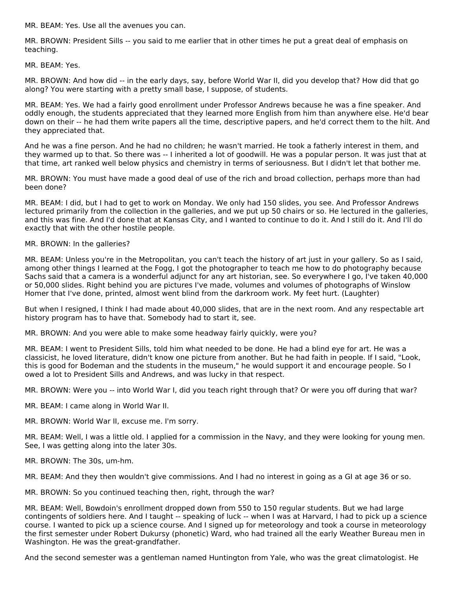MR. BEAM: Yes. Use all the avenues you can.

MR. BROWN: President Sills -- you said to me earlier that in other times he put a great deal of emphasis on teaching.

MR. BEAM: Yes.

MR. BROWN: And how did -- in the early days, say, before World War II, did you develop that? How did that go along? You were starting with a pretty small base, I suppose, of students.

MR. BEAM: Yes. We had a fairly good enrollment under Professor Andrews because he was a fine speaker. And oddly enough, the students appreciated that they learned more English from him than anywhere else. He'd bear down on their -- he had them write papers all the time, descriptive papers, and he'd correct them to the hilt. And they appreciated that.

And he was a fine person. And he had no children; he wasn't married. He took a fatherly interest in them, and they warmed up to that. So there was -- I inherited a lot of goodwill. He was a popular person. It was just that at that time, art ranked well below physics and chemistry in terms of seriousness. But I didn't let that bother me.

MR. BROWN: You must have made a good deal of use of the rich and broad collection, perhaps more than had been done?

MR. BEAM: I did, but I had to get to work on Monday. We only had 150 slides, you see. And Professor Andrews lectured primarily from the collection in the galleries, and we put up 50 chairs or so. He lectured in the galleries, and this was fine. And I'd done that at Kansas City, and I wanted to continue to do it. And I still do it. And I'll do exactly that with the other hostile people.

MR. BROWN: In the galleries?

MR. BEAM: Unless you're in the Metropolitan, you can't teach the history of art just in your gallery. So as I said, among other things I learned at the Fogg, I got the photographer to teach me how to do photography because Sachs said that a camera is a wonderful adjunct for any art historian, see. So everywhere I go, I've taken 40,000 or 50,000 slides. Right behind you are pictures I've made, volumes and volumes of photographs of Winslow Homer that I've done, printed, almost went blind from the darkroom work. My feet hurt. (Laughter)

But when I resigned, I think I had made about 40,000 slides, that are in the next room. And any respectable art history program has to have that. Somebody had to start it, see.

MR. BROWN: And you were able to make some headway fairly quickly, were you?

MR. BEAM: I went to President Sills, told him what needed to be done. He had a blind eye for art. He was a classicist, he loved literature, didn't know one picture from another. But he had faith in people. If I said, "Look, this is good for Bodeman and the students in the museum," he would support it and encourage people. So I owed a lot to President Sills and Andrews, and was lucky in that respect.

MR. BROWN: Were you -- into World War I, did you teach right through that? Or were you off during that war?

MR. BEAM: I came along in World War II.

MR. BROWN: World War II, excuse me. I'm sorry.

MR. BEAM: Well, I was a little old. I applied for a commission in the Navy, and they were looking for young men. See, I was getting along into the later 30s.

MR. BROWN: The 30s, um-hm.

MR. BEAM: And they then wouldn't give commissions. And I had no interest in going as a GI at age 36 or so.

MR. BROWN: So you continued teaching then, right, through the war?

MR. BEAM: Well, Bowdoin's enrollment dropped down from 550 to 150 regular students. But we had large contingents of soldiers here. And I taught -- speaking of luck -- when I was at Harvard, I had to pick up a science course. I wanted to pick up a science course. And I signed up for meteorology and took a course in meteorology the first semester under Robert Dukursy (phonetic) Ward, who had trained all the early Weather Bureau men in Washington. He was the great-grandfather.

And the second semester was a gentleman named Huntington from Yale, who was the great climatologist. He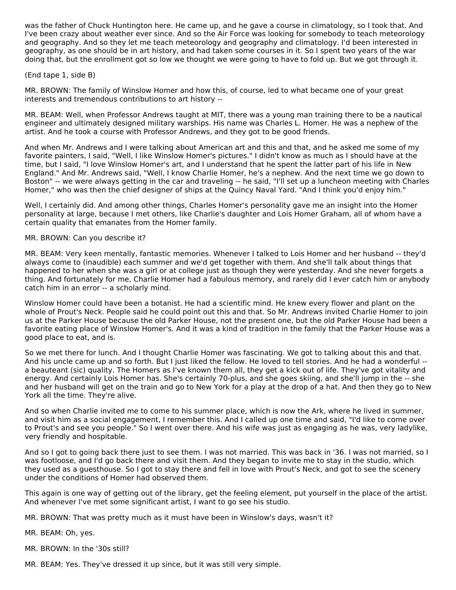was the father of Chuck Huntington here. He came up, and he gave a course in climatology, so I took that. And I've been crazy about weather ever since. And so the Air Force was looking for somebody to teach meteorology and geography. And so they let me teach meteorology and geography and climatology. I'd been interested in geography, as one should be in art history, and had taken some courses in it. So I spent two years of the war doing that, but the enrollment got so low we thought we were going to have to fold up. But we got through it.

#### (End tape 1, side B)

MR. BROWN: The family of Winslow Homer and how this, of course, led to what became one of your great interests and tremendous contributions to art history --

MR. BEAM: Well, when Professor Andrews taught at MIT, there was a young man training there to be a nautical engineer and ultimately designed military warships. His name was Charles L. Homer. He was a nephew of the artist. And he took a course with Professor Andrews, and they got to be good friends.

And when Mr. Andrews and I were talking about American art and this and that, and he asked me some of my favorite painters, I said, "Well, I like Winslow Homer's pictures." I didn't know as much as I should have at the time, but I said, "I love Winslow Homer's art, and I understand that he spent the latter part of his life in New England." And Mr. Andrews said, "Well, I know Charlie Homer, he's a nephew. And the next time we go down to Boston" -- we were always getting in the car and traveling -- he said, "I'll set up a luncheon meeting with Charles Homer," who was then the chief designer of ships at the Quincy Naval Yard. "And I think you'd enjoy him."

Well, I certainly did. And among other things, Charles Homer's personality gave me an insight into the Homer personality at large, because I met others, like Charlie's daughter and Lois Homer Graham, all of whom have a certain quality that emanates from the Homer family.

#### MR. BROWN: Can you describe it?

MR. BEAM: Very keen mentally, fantastic memories. Whenever I talked to Lois Homer and her husband -- they'd always come to (inaudible) each summer and we'd get together with them. And she'll talk about things that happened to her when she was a girl or at college just as though they were yesterday. And she never forgets a thing. And fortunately for me, Charlie Homer had a fabulous memory, and rarely did I ever catch him or anybody catch him in an error -- a scholarly mind.

Winslow Homer could have been a botanist. He had a scientific mind. He knew every flower and plant on the whole of Prout's Neck. People said he could point out this and that. So Mr. Andrews invited Charlie Homer to join us at the Parker House because the old Parker House, not the present one, but the old Parker House had been a favorite eating place of Winslow Homer's. And it was a kind of tradition in the family that the Parker House was a good place to eat, and is.

So we met there for lunch. And I thought Charlie Homer was fascinating. We got to talking about this and that. And his uncle came up and so forth. But I just liked the fellow. He loved to tell stories. And he had a wonderful - a beauteant (sic) quality. The Homers as I've known them all, they get a kick out of life. They've got vitality and energy. And certainly Lois Homer has. She's certainly 70-plus, and she goes skiing, and she'll jump in the -- she and her husband will get on the train and go to New York for a play at the drop of a hat. And then they go to New York all the time. They're alive.

And so when Charlie invited me to come to his summer place, which is now the Ark, where he lived in summer, and visit him as a social engagement, I remember this. And I called up one time and said, "I'd like to come over to Prout's and see you people." So I went over there. And his wife was just as engaging as he was, very ladylike, very friendly and hospitable.

And so I got to going back there just to see them. I was not married. This was back in '36. I was not married, so I was footloose, and I'd go back there and visit them. And they began to invite me to stay in the studio, which they used as a guesthouse. So I got to stay there and fell in love with Prout's Neck, and got to see the scenery under the conditions of Homer had observed them.

This again is one way of getting out of the library, get the feeling element, put yourself in the place of the artist. And whenever I've met some significant artist, I want to go see his studio.

MR. BROWN: That was pretty much as it must have been in Winslow's days, wasn't it?

MR. BEAM: Oh, yes.

MR. BROWN: In the '30s still?

MR. BEAM: Yes. They've dressed it up since, but it was still very simple.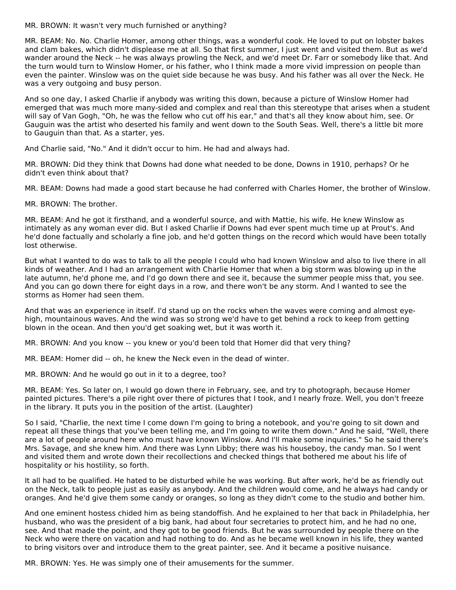MR. BROWN: It wasn't very much furnished or anything?

MR. BEAM: No. No. Charlie Homer, among other things, was a wonderful cook. He loved to put on lobster bakes and clam bakes, which didn't displease me at all. So that first summer, I just went and visited them. But as we'd wander around the Neck -- he was always prowling the Neck, and we'd meet Dr. Farr or somebody like that. And the turn would turn to Winslow Homer, or his father, who I think made a more vivid impression on people than even the painter. Winslow was on the quiet side because he was busy. And his father was all over the Neck. He was a very outgoing and busy person.

And so one day, I asked Charlie if anybody was writing this down, because a picture of Winslow Homer had emerged that was much more many-sided and complex and real than this stereotype that arises when a student will say of Van Gogh, "Oh, he was the fellow who cut off his ear," and that's all they know about him, see. Or Gauguin was the artist who deserted his family and went down to the South Seas. Well, there's a little bit more to Gauguin than that. As a starter, yes.

And Charlie said, "No." And it didn't occur to him. He had and always had.

MR. BROWN: Did they think that Downs had done what needed to be done, Downs in 1910, perhaps? Or he didn't even think about that?

MR. BEAM: Downs had made a good start because he had conferred with Charles Homer, the brother of Winslow.

MR. BROWN: The brother.

MR. BEAM: And he got it firsthand, and a wonderful source, and with Mattie, his wife. He knew Winslow as intimately as any woman ever did. But I asked Charlie if Downs had ever spent much time up at Prout's. And he'd done factually and scholarly a fine job, and he'd gotten things on the record which would have been totally lost otherwise.

But what I wanted to do was to talk to all the people I could who had known Winslow and also to live there in all kinds of weather. And I had an arrangement with Charlie Homer that when a big storm was blowing up in the late autumn, he'd phone me, and I'd go down there and see it, because the summer people miss that, you see. And you can go down there for eight days in a row, and there won't be any storm. And I wanted to see the storms as Homer had seen them.

And that was an experience in itself. I'd stand up on the rocks when the waves were coming and almost eyehigh, mountainous waves. And the wind was so strong we'd have to get behind a rock to keep from getting blown in the ocean. And then you'd get soaking wet, but it was worth it.

MR. BROWN: And you know -- you knew or you'd been told that Homer did that very thing?

MR. BEAM: Homer did -- oh, he knew the Neck even in the dead of winter.

MR. BROWN: And he would go out in it to a degree, too?

MR. BEAM: Yes. So later on, I would go down there in February, see, and try to photograph, because Homer painted pictures. There's a pile right over there of pictures that I took, and I nearly froze. Well, you don't freeze in the library. It puts you in the position of the artist. (Laughter)

So I said, "Charlie, the next time I come down I'm going to bring a notebook, and you're going to sit down and repeat all these things that you've been telling me, and I'm going to write them down." And he said, "Well, there are a lot of people around here who must have known Winslow. And I'll make some inquiries." So he said there's Mrs. Savage, and she knew him. And there was Lynn Libby; there was his houseboy, the candy man. So I went and visited them and wrote down their recollections and checked things that bothered me about his life of hospitality or his hostility, so forth.

It all had to be qualified. He hated to be disturbed while he was working. But after work, he'd be as friendly out on the Neck, talk to people just as easily as anybody. And the children would come, and he always had candy or oranges. And he'd give them some candy or oranges, so long as they didn't come to the studio and bother him.

And one eminent hostess chided him as being standoffish. And he explained to her that back in Philadelphia, her husband, who was the president of a big bank, had about four secretaries to protect him, and he had no one, see. And that made the point, and they got to be good friends. But he was surrounded by people there on the Neck who were there on vacation and had nothing to do. And as he became well known in his life, they wanted to bring visitors over and introduce them to the great painter, see. And it became a positive nuisance.

MR. BROWN: Yes. He was simply one of their amusements for the summer.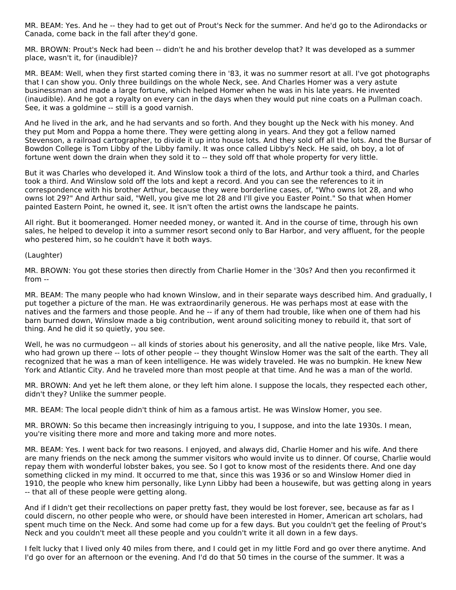MR. BEAM: Yes. And he -- they had to get out of Prout's Neck for the summer. And he'd go to the Adirondacks or Canada, come back in the fall after they'd gone.

MR. BROWN: Prout's Neck had been -- didn't he and his brother develop that? It was developed as a summer place, wasn't it, for (inaudible)?

MR. BEAM: Well, when they first started coming there in '83, it was no summer resort at all. I've got photographs that I can show you. Only three buildings on the whole Neck, see. And Charles Homer was a very astute businessman and made a large fortune, which helped Homer when he was in his late years. He invented (inaudible). And he got a royalty on every can in the days when they would put nine coats on a Pullman coach. See, it was a goldmine -- still is a good varnish.

And he lived in the ark, and he had servants and so forth. And they bought up the Neck with his money. And they put Mom and Poppa a home there. They were getting along in years. And they got a fellow named Stevenson, a railroad cartographer, to divide it up into house lots. And they sold off all the lots. And the Bursar of Bowdon College is Tom Libby of the Libby family. It was once called Libby's Neck. He said, oh boy, a lot of fortune went down the drain when they sold it to -- they sold off that whole property for very little.

But it was Charles who developed it. And Winslow took a third of the lots, and Arthur took a third, and Charles took a third. And Winslow sold off the lots and kept a record. And you can see the references to it in correspondence with his brother Arthur, because they were borderline cases, of, "Who owns lot 28, and who owns lot 29?" And Arthur said, "Well, you give me lot 28 and I'll give you Easter Point." So that when Homer painted Eastern Point, he owned it, see. It isn't often the artist owns the landscape he paints.

All right. But it boomeranged. Homer needed money, or wanted it. And in the course of time, through his own sales, he helped to develop it into a summer resort second only to Bar Harbor, and very affluent, for the people who pestered him, so he couldn't have it both ways.

#### (Laughter)

MR. BROWN: You got these stories then directly from Charlie Homer in the '30s? And then you reconfirmed it from --

MR. BEAM: The many people who had known Winslow, and in their separate ways described him. And gradually, I put together a picture of the man. He was extraordinarily generous. He was perhaps most at ease with the natives and the farmers and those people. And he -- if any of them had trouble, like when one of them had his barn burned down, Winslow made a big contribution, went around soliciting money to rebuild it, that sort of thing. And he did it so quietly, you see.

Well, he was no curmudgeon -- all kinds of stories about his generosity, and all the native people, like Mrs. Vale, who had grown up there -- lots of other people -- they thought Winslow Homer was the salt of the earth. They all recognized that he was a man of keen intelligence. He was widely traveled. He was no bumpkin. He knew New York and Atlantic City. And he traveled more than most people at that time. And he was a man of the world.

MR. BROWN: And yet he left them alone, or they left him alone. I suppose the locals, they respected each other, didn't they? Unlike the summer people.

MR. BEAM: The local people didn't think of him as a famous artist. He was Winslow Homer, you see.

MR. BROWN: So this became then increasingly intriguing to you, I suppose, and into the late 1930s. I mean, you're visiting there more and more and taking more and more notes.

MR. BEAM: Yes. I went back for two reasons. I enjoyed, and always did, Charlie Homer and his wife. And there are many friends on the neck among the summer visitors who would invite us to dinner. Of course, Charlie would repay them with wonderful lobster bakes, you see. So I got to know most of the residents there. And one day something clicked in my mind. It occurred to me that, since this was 1936 or so and Winslow Homer died in 1910, the people who knew him personally, like Lynn Libby had been a housewife, but was getting along in years -- that all of these people were getting along.

And if I didn't get their recollections on paper pretty fast, they would be lost forever, see, because as far as I could discern, no other people who were, or should have been interested in Homer, American art scholars, had spent much time on the Neck. And some had come up for a few days. But you couldn't get the feeling of Prout's Neck and you couldn't meet all these people and you couldn't write it all down in a few days.

I felt lucky that I lived only 40 miles from there, and I could get in my little Ford and go over there anytime. And I'd go over for an afternoon or the evening. And I'd do that 50 times in the course of the summer. It was a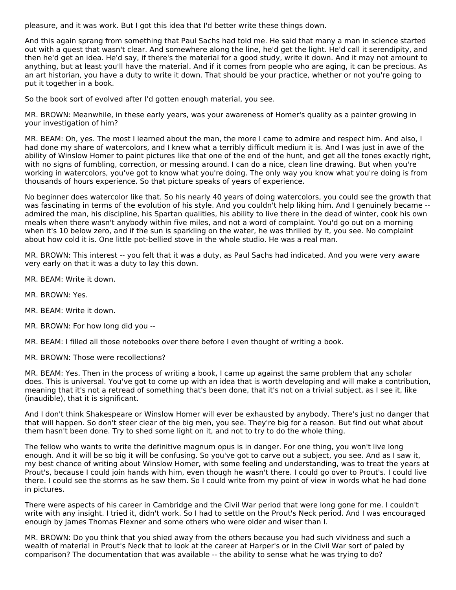pleasure, and it was work. But I got this idea that I'd better write these things down.

And this again sprang from something that Paul Sachs had told me. He said that many a man in science started out with a quest that wasn't clear. And somewhere along the line, he'd get the light. He'd call it serendipity, and then he'd get an idea. He'd say, if there's the material for a good study, write it down. And it may not amount to anything, but at least you'll have the material. And if it comes from people who are aging, it can be precious. As an art historian, you have a duty to write it down. That should be your practice, whether or not you're going to put it together in a book.

So the book sort of evolved after I'd gotten enough material, you see.

MR. BROWN: Meanwhile, in these early years, was your awareness of Homer's quality as a painter growing in your investigation of him?

MR. BEAM: Oh, yes. The most I learned about the man, the more I came to admire and respect him. And also, I had done my share of watercolors, and I knew what a terribly difficult medium it is. And I was just in awe of the ability of Winslow Homer to paint pictures like that one of the end of the hunt, and get all the tones exactly right, with no signs of fumbling, correction, or messing around. I can do a nice, clean line drawing. But when you're working in watercolors, you've got to know what you're doing. The only way you know what you're doing is from thousands of hours experience. So that picture speaks of years of experience.

No beginner does watercolor like that. So his nearly 40 years of doing watercolors, you could see the growth that was fascinating in terms of the evolution of his style. And you couldn't help liking him. And I genuinely became -admired the man, his discipline, his Spartan qualities, his ability to live there in the dead of winter, cook his own meals when there wasn't anybody within five miles, and not a word of complaint. You'd go out on a morning when it's 10 below zero, and if the sun is sparkling on the water, he was thrilled by it, you see. No complaint about how cold it is. One little pot-bellied stove in the whole studio. He was a real man.

MR. BROWN: This interest -- you felt that it was a duty, as Paul Sachs had indicated. And you were very aware very early on that it was a duty to lay this down.

- MR. BEAM: Write it down.
- MR. BROWN: Yes.
- MR. BEAM: Write it down.
- MR. BROWN: For how long did you --

MR. BEAM: I filled all those notebooks over there before I even thought of writing a book.

MR. BROWN: Those were recollections?

MR. BEAM: Yes. Then in the process of writing a book, I came up against the same problem that any scholar does. This is universal. You've got to come up with an idea that is worth developing and will make a contribution, meaning that it's not a retread of something that's been done, that it's not on a trivial subject, as I see it, like (inaudible), that it is significant.

And I don't think Shakespeare or Winslow Homer will ever be exhausted by anybody. There's just no danger that that will happen. So don't steer clear of the big men, you see. They're big for a reason. But find out what about them hasn't been done. Try to shed some light on it, and not to try to do the whole thing.

The fellow who wants to write the definitive magnum opus is in danger. For one thing, you won't live long enough. And it will be so big it will be confusing. So you've got to carve out a subject, you see. And as I saw it, my best chance of writing about Winslow Homer, with some feeling and understanding, was to treat the years at Prout's, because I could join hands with him, even though he wasn't there. I could go over to Prout's. I could live there. I could see the storms as he saw them. So I could write from my point of view in words what he had done in pictures.

There were aspects of his career in Cambridge and the Civil War period that were long gone for me. I couldn't write with any insight. I tried it, didn't work. So I had to settle on the Prout's Neck period. And I was encouraged enough by James Thomas Flexner and some others who were older and wiser than I.

MR. BROWN: Do you think that you shied away from the others because you had such vividness and such a wealth of material in Prout's Neck that to look at the career at Harper's or in the Civil War sort of paled by comparison? The documentation that was available -- the ability to sense what he was trying to do?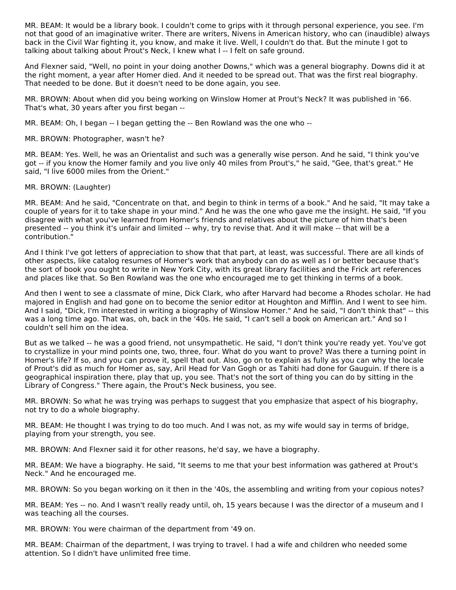MR. BEAM: It would be a library book. I couldn't come to grips with it through personal experience, you see. I'm not that good of an imaginative writer. There are writers, Nivens in American history, who can (inaudible) always back in the Civil War fighting it, you know, and make it live. Well, I couldn't do that. But the minute I got to talking about talking about Prout's Neck, I knew what I -- I felt on safe ground.

And Flexner said, "Well, no point in your doing another Downs," which was a general biography. Downs did it at the right moment, a year after Homer died. And it needed to be spread out. That was the first real biography. That needed to be done. But it doesn't need to be done again, you see.

MR. BROWN: About when did you being working on Winslow Homer at Prout's Neck? It was published in '66. That's what, 30 years after you first began --

MR. BEAM: Oh, I began -- I began getting the -- Ben Rowland was the one who --

MR. BROWN: Photographer, wasn't he?

MR. BEAM: Yes. Well, he was an Orientalist and such was a generally wise person. And he said, "I think you've got -- if you know the Homer family and you live only 40 miles from Prout's," he said, "Gee, that's great." He said, "I live 6000 miles from the Orient."

MR. BROWN: (Laughter)

MR. BEAM: And he said, "Concentrate on that, and begin to think in terms of a book." And he said, "It may take a couple of years for it to take shape in your mind." And he was the one who gave me the insight. He said, "If you disagree with what you've learned from Homer's friends and relatives about the picture of him that's been presented -- you think it's unfair and limited -- why, try to revise that. And it will make -- that will be a contribution."

And I think I've got letters of appreciation to show that that part, at least, was successful. There are all kinds of other aspects, like catalog resumes of Homer's work that anybody can do as well as I or better because that's the sort of book you ought to write in New York City, with its great library facilities and the Frick art references and places like that. So Ben Rowland was the one who encouraged me to get thinking in terms of a book.

And then I went to see a classmate of mine, Dick Clark, who after Harvard had become a Rhodes scholar. He had majored in English and had gone on to become the senior editor at Houghton and Mifflin. And I went to see him. And I said, "Dick, I'm interested in writing a biography of Winslow Homer." And he said, "I don't think that" -- this was a long time ago. That was, oh, back in the '40s. He said, "I can't sell a book on American art." And so I couldn't sell him on the idea.

But as we talked -- he was a good friend, not unsympathetic. He said, "I don't think you're ready yet. You've got to crystallize in your mind points one, two, three, four. What do you want to prove? Was there a turning point in Homer's life? If so, and you can prove it, spell that out. Also, go on to explain as fully as you can why the locale of Prout's did as much for Homer as, say, Aril Head for Van Gogh or as Tahiti had done for Gauguin. If there is a geographical inspiration there, play that up, you see. That's not the sort of thing you can do by sitting in the Library of Congress." There again, the Prout's Neck business, you see.

MR. BROWN: So what he was trying was perhaps to suggest that you emphasize that aspect of his biography, not try to do a whole biography.

MR. BEAM: He thought I was trying to do too much. And I was not, as my wife would say in terms of bridge, playing from your strength, you see.

MR. BROWN: And Flexner said it for other reasons, he'd say, we have a biography.

MR. BEAM: We have a biography. He said, "It seems to me that your best information was gathered at Prout's Neck." And he encouraged me.

MR. BROWN: So you began working on it then in the '40s, the assembling and writing from your copious notes?

MR. BEAM: Yes -- no. And I wasn't really ready until, oh, 15 years because I was the director of a museum and I was teaching all the courses.

MR. BROWN: You were chairman of the department from '49 on.

MR. BEAM: Chairman of the department, I was trying to travel. I had a wife and children who needed some attention. So I didn't have unlimited free time.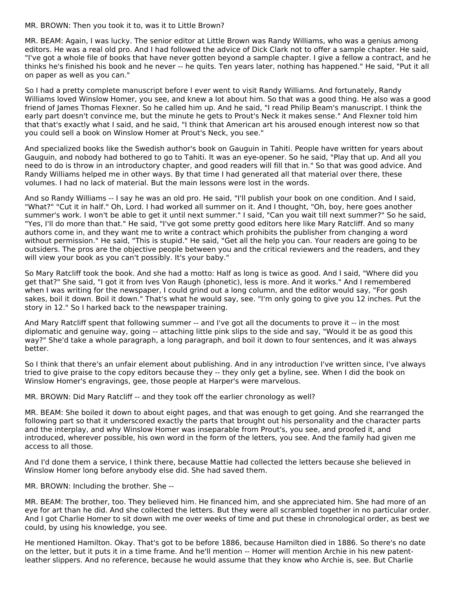MR. BROWN: Then you took it to, was it to Little Brown?

MR. BEAM: Again, I was lucky. The senior editor at Little Brown was Randy Williams, who was a genius among editors. He was a real old pro. And I had followed the advice of Dick Clark not to offer a sample chapter. He said, "I've got a whole file of books that have never gotten beyond a sample chapter. I give a fellow a contract, and he thinks he's finished his book and he never -- he quits. Ten years later, nothing has happened." He said, "Put it all on paper as well as you can."

So I had a pretty complete manuscript before I ever went to visit Randy Williams. And fortunately, Randy Williams loved Winslow Homer, you see, and knew a lot about him. So that was a good thing. He also was a good friend of James Thomas Flexner. So he called him up. And he said, "I read Philip Beam's manuscript. I think the early part doesn't convince me, but the minute he gets to Prout's Neck it makes sense." And Flexner told him that that's exactly what I said, and he said, "I think that American art his aroused enough interest now so that you could sell a book on Winslow Homer at Prout's Neck, you see."

And specialized books like the Swedish author's book on Gauguin in Tahiti. People have written for years about Gauguin, and nobody had bothered to go to Tahiti. It was an eye-opener. So he said, "Play that up. And all you need to do is throw in an introductory chapter, and good readers will fill that in." So that was good advice. And Randy Williams helped me in other ways. By that time I had generated all that material over there, these volumes. I had no lack of material. But the main lessons were lost in the words.

And so Randy Williams -- I say he was an old pro. He said, "I'll publish your book on one condition. And I said, "What?" "Cut it in half." Oh, Lord. I had worked all summer on it. And I thought, "Oh, boy, here goes another summer's work. I won't be able to get it until next summer." I said, "Can you wait till next summer?" So he said, "Yes, I'll do more than that." He said, "I've got some pretty good editors here like Mary Ratcliff. And so many authors come in, and they want me to write a contract which prohibits the publisher from changing a word without permission." He said, "This is stupid." He said, "Get all the help you can. Your readers are going to be outsiders. The pros are the objective people between you and the critical reviewers and the readers, and they will view your book as you can't possibly. It's your baby."

So Mary Ratcliff took the book. And she had a motto: Half as long is twice as good. And I said, "Where did you get that?" She said, "I got it from Ives Von Raugh (phonetic), less is more. And it works." And I remembered when I was writing for the newspaper, I could grind out a long column, and the editor would say, "For gosh sakes, boil it down. Boil it down." That's what he would say, see. "I'm only going to give you 12 inches. Put the story in 12." So I harked back to the newspaper training.

And Mary Ratcliff spent that following summer -- and I've got all the documents to prove it -- in the most diplomatic and genuine way, going -- attaching little pink slips to the side and say, "Would it be as good this way?" She'd take a whole paragraph, a long paragraph, and boil it down to four sentences, and it was always better.

So I think that there's an unfair element about publishing. And in any introduction I've written since, I've always tried to give praise to the copy editors because they -- they only get a byline, see. When I did the book on Winslow Homer's engravings, gee, those people at Harper's were marvelous.

MR. BROWN: Did Mary Ratcliff -- and they took off the earlier chronology as well?

MR. BEAM: She boiled it down to about eight pages, and that was enough to get going. And she rearranged the following part so that it underscored exactly the parts that brought out his personality and the character parts and the interplay, and why Winslow Homer was inseparable from Prout's, you see, and proofed it, and introduced, wherever possible, his own word in the form of the letters, you see. And the family had given me access to all those.

And I'd done them a service, I think there, because Mattie had collected the letters because she believed in Winslow Homer long before anybody else did. She had saved them.

MR. BROWN: Including the brother. She --

MR. BEAM: The brother, too. They believed him. He financed him, and she appreciated him. She had more of an eye for art than he did. And she collected the letters. But they were all scrambled together in no particular order. And I got Charlie Homer to sit down with me over weeks of time and put these in chronological order, as best we could, by using his knowledge, you see.

He mentioned Hamilton. Okay. That's got to be before 1886, because Hamilton died in 1886. So there's no date on the letter, but it puts it in a time frame. And he'll mention -- Homer will mention Archie in his new patentleather slippers. And no reference, because he would assume that they know who Archie is, see. But Charlie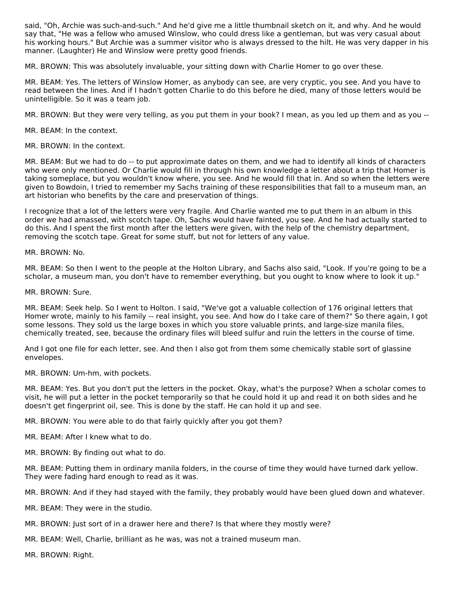said, "Oh, Archie was such-and-such." And he'd give me a little thumbnail sketch on it, and why. And he would say that, "He was a fellow who amused Winslow, who could dress like a gentleman, but was very casual about his working hours." But Archie was a summer visitor who is always dressed to the hilt. He was very dapper in his manner. (Laughter) He and Winslow were pretty good friends.

MR. BROWN: This was absolutely invaluable, your sitting down with Charlie Homer to go over these.

MR. BEAM: Yes. The letters of Winslow Homer, as anybody can see, are very cryptic, you see. And you have to read between the lines. And if I hadn't gotten Charlie to do this before he died, many of those letters would be unintelligible. So it was a team job.

MR. BROWN: But they were very telling, as you put them in your book? I mean, as you led up them and as you --

MR. BEAM: In the context.

MR. BROWN: In the context.

MR. BEAM: But we had to do -- to put approximate dates on them, and we had to identify all kinds of characters who were only mentioned. Or Charlie would fill in through his own knowledge a letter about a trip that Homer is taking someplace, but you wouldn't know where, you see. And he would fill that in. And so when the letters were given to Bowdoin, I tried to remember my Sachs training of these responsibilities that fall to a museum man, an art historian who benefits by the care and preservation of things.

I recognize that a lot of the letters were very fragile. And Charlie wanted me to put them in an album in this order we had amassed, with scotch tape. Oh, Sachs would have fainted, you see. And he had actually started to do this. And I spent the first month after the letters were given, with the help of the chemistry department, removing the scotch tape. Great for some stuff, but not for letters of any value.

MR. BROWN: No.

MR. BEAM: So then I went to the people at the Holton Library, and Sachs also said, "Look. If you're going to be a scholar, a museum man, you don't have to remember everything, but you ought to know where to look it up."

MR. BROWN: Sure.

MR. BEAM: Seek help. So I went to Holton. I said, "We've got a valuable collection of 176 original letters that Homer wrote, mainly to his family -- real insight, you see. And how do I take care of them?" So there again, I got some lessons. They sold us the large boxes in which you store valuable prints, and large-size manila files, chemically treated, see, because the ordinary files will bleed sulfur and ruin the letters in the course of time.

And I got one file for each letter, see. And then I also got from them some chemically stable sort of glassine envelopes.

MR. BROWN: Um-hm, with pockets.

MR. BEAM: Yes. But you don't put the letters in the pocket. Okay, what's the purpose? When a scholar comes to visit, he will put a letter in the pocket temporarily so that he could hold it up and read it on both sides and he doesn't get fingerprint oil, see. This is done by the staff. He can hold it up and see.

MR. BROWN: You were able to do that fairly quickly after you got them?

MR. BEAM: After I knew what to do.

MR. BROWN: By finding out what to do.

MR. BEAM: Putting them in ordinary manila folders, in the course of time they would have turned dark yellow. They were fading hard enough to read as it was.

MR. BROWN: And if they had stayed with the family, they probably would have been glued down and whatever.

MR. BEAM: They were in the studio.

- MR. BROWN: Just sort of in a drawer here and there? Is that where they mostly were?
- MR. BEAM: Well, Charlie, brilliant as he was, was not a trained museum man.

MR. BROWN: Right.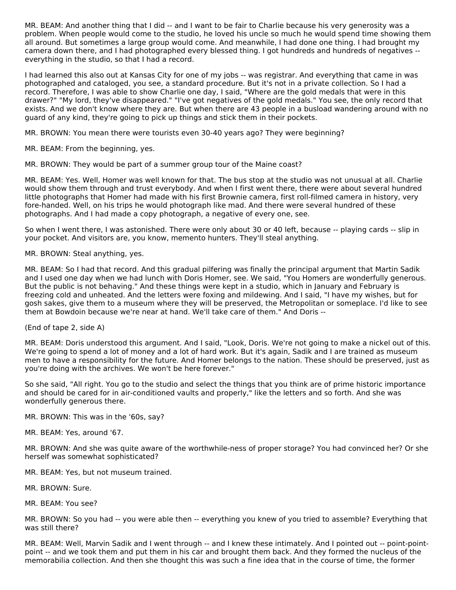MR. BEAM: And another thing that I did -- and I want to be fair to Charlie because his very generosity was a problem. When people would come to the studio, he loved his uncle so much he would spend time showing them all around. But sometimes a large group would come. And meanwhile, I had done one thing. I had brought my camera down there, and I had photographed every blessed thing. I got hundreds and hundreds of negatives - everything in the studio, so that I had a record.

I had learned this also out at Kansas City for one of my jobs -- was registrar. And everything that came in was photographed and cataloged, you see, a standard procedure. But it's not in a private collection. So I had a record. Therefore, I was able to show Charlie one day, I said, "Where are the gold medals that were in this drawer?" "My lord, they've disappeared." "I've got negatives of the gold medals." You see, the only record that exists. And we don't know where they are. But when there are 43 people in a busload wandering around with no guard of any kind, they're going to pick up things and stick them in their pockets.

MR. BROWN: You mean there were tourists even 30-40 years ago? They were beginning?

MR. BEAM: From the beginning, yes.

MR. BROWN: They would be part of a summer group tour of the Maine coast?

MR. BEAM: Yes. Well, Homer was well known for that. The bus stop at the studio was not unusual at all. Charlie would show them through and trust everybody. And when I first went there, there were about several hundred little photographs that Homer had made with his first Brownie camera, first roll-filmed camera in history, very fore-handed. Well, on his trips he would photograph like mad. And there were several hundred of these photographs. And I had made a copy photograph, a negative of every one, see.

So when I went there, I was astonished. There were only about 30 or 40 left, because -- playing cards -- slip in your pocket. And visitors are, you know, memento hunters. They'll steal anything.

MR. BROWN: Steal anything, yes.

MR. BEAM: So I had that record. And this gradual pilfering was finally the principal argument that Martin Sadik and I used one day when we had lunch with Doris Homer, see. We said, "You Homers are wonderfully generous. But the public is not behaving." And these things were kept in a studio, which in January and February is freezing cold and unheated. And the letters were foxing and mildewing. And I said, "I have my wishes, but for gosh sakes, give them to a museum where they will be preserved, the Metropolitan or someplace. I'd like to see them at Bowdoin because we're near at hand. We'll take care of them." And Doris --

(End of tape 2, side A)

MR. BEAM: Doris understood this argument. And I said, "Look, Doris. We're not going to make a nickel out of this. We're going to spend a lot of money and a lot of hard work. But it's again, Sadik and I are trained as museum men to have a responsibility for the future. And Homer belongs to the nation. These should be preserved, just as you're doing with the archives. We won't be here forever."

So she said, "All right. You go to the studio and select the things that you think are of prime historic importance and should be cared for in air-conditioned vaults and properly," like the letters and so forth. And she was wonderfully generous there.

MR. BROWN: This was in the '60s, say?

MR. BEAM: Yes, around '67.

MR. BROWN: And she was quite aware of the worthwhile-ness of proper storage? You had convinced her? Or she herself was somewhat sophisticated?

MR. BEAM: Yes, but not museum trained.

MR. BROWN: Sure.

MR. BEAM: You see?

MR. BROWN: So you had -- you were able then -- everything you knew of you tried to assemble? Everything that was still there?

MR. BEAM: Well, Marvin Sadik and I went through -- and I knew these intimately. And I pointed out -- point-pointpoint -- and we took them and put them in his car and brought them back. And they formed the nucleus of the memorabilia collection. And then she thought this was such a fine idea that in the course of time, the former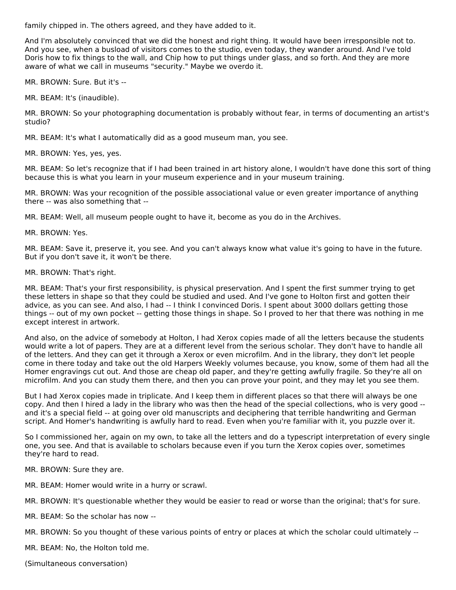family chipped in. The others agreed, and they have added to it.

And I'm absolutely convinced that we did the honest and right thing. It would have been irresponsible not to. And you see, when a busload of visitors comes to the studio, even today, they wander around. And I've told Doris how to fix things to the wall, and Chip how to put things under glass, and so forth. And they are more aware of what we call in museums "security." Maybe we overdo it.

MR. BROWN: Sure. But it's --

MR. BEAM: It's (inaudible).

MR. BROWN: So your photographing documentation is probably without fear, in terms of documenting an artist's studio?

MR. BEAM: It's what I automatically did as a good museum man, you see.

MR. BROWN: Yes, yes, yes.

MR. BEAM: So let's recognize that if I had been trained in art history alone, I wouldn't have done this sort of thing because this is what you learn in your museum experience and in your museum training.

MR. BROWN: Was your recognition of the possible associational value or even greater importance of anything there -- was also something that --

MR. BEAM: Well, all museum people ought to have it, become as you do in the Archives.

MR. BROWN: Yes.

MR. BEAM: Save it, preserve it, you see. And you can't always know what value it's going to have in the future. But if you don't save it, it won't be there.

MR. BROWN: That's right.

MR. BEAM: That's your first responsibility, is physical preservation. And I spent the first summer trying to get these letters in shape so that they could be studied and used. And I've gone to Holton first and gotten their advice, as you can see. And also, I had -- I think I convinced Doris. I spent about 3000 dollars getting those things -- out of my own pocket -- getting those things in shape. So I proved to her that there was nothing in me except interest in artwork.

And also, on the advice of somebody at Holton, I had Xerox copies made of all the letters because the students would write a lot of papers. They are at a different level from the serious scholar. They don't have to handle all of the letters. And they can get it through a Xerox or even microfilm. And in the library, they don't let people come in there today and take out the old Harpers Weekly volumes because, you know, some of them had all the Homer engravings cut out. And those are cheap old paper, and they're getting awfully fragile. So they're all on microfilm. And you can study them there, and then you can prove your point, and they may let you see them.

But I had Xerox copies made in triplicate. And I keep them in different places so that there will always be one copy. And then I hired a lady in the library who was then the head of the special collections, who is very good - and it's a special field -- at going over old manuscripts and deciphering that terrible handwriting and German script. And Homer's handwriting is awfully hard to read. Even when you're familiar with it, you puzzle over it.

So I commissioned her, again on my own, to take all the letters and do a typescript interpretation of every single one, you see. And that is available to scholars because even if you turn the Xerox copies over, sometimes they're hard to read.

MR. BROWN: Sure they are.

MR. BEAM: Homer would write in a hurry or scrawl.

MR. BROWN: It's questionable whether they would be easier to read or worse than the original; that's for sure.

MR. BEAM: So the scholar has now --

MR. BROWN: So you thought of these various points of entry or places at which the scholar could ultimately --

MR. BEAM: No, the Holton told me.

(Simultaneous conversation)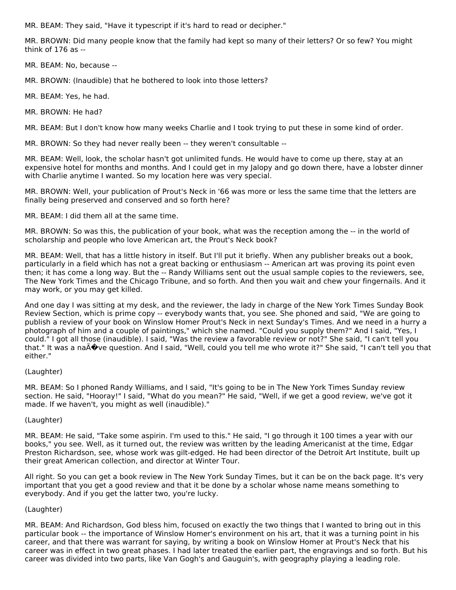MR. BEAM: They said, "Have it typescript if it's hard to read or decipher."

MR. BROWN: Did many people know that the family had kept so many of their letters? Or so few? You might think of 176 as --

MR. BEAM: No, because --

MR. BROWN: (Inaudible) that he bothered to look into those letters?

MR. BEAM: Yes, he had.

MR. BROWN: He had?

MR. BEAM: But I don't know how many weeks Charlie and I took trying to put these in some kind of order.

MR. BROWN: So they had never really been -- they weren't consultable --

MR. BEAM: Well, look, the scholar hasn't got unlimited funds. He would have to come up there, stay at an expensive hotel for months and months. And I could get in my Jalopy and go down there, have a lobster dinner with Charlie anytime I wanted. So my location here was very special.

MR. BROWN: Well, your publication of Prout's Neck in '66 was more or less the same time that the letters are finally being preserved and conserved and so forth here?

MR. BEAM: I did them all at the same time.

MR. BROWN: So was this, the publication of your book, what was the reception among the -- in the world of scholarship and people who love American art, the Prout's Neck book?

MR. BEAM: Well, that has a little history in itself. But I'll put it briefly. When any publisher breaks out a book, particularly in a field which has not a great backing or enthusiasm -- American art was proving its point even then; it has come a long way. But the -- Randy Williams sent out the usual sample copies to the reviewers, see, The New York Times and the Chicago Tribune, and so forth. And then you wait and chew your fingernails. And it may work, or you may get killed.

And one day I was sitting at my desk, and the reviewer, the lady in charge of the New York Times Sunday Book Review Section, which is prime copy -- everybody wants that, you see. She phoned and said, "We are going to publish a review of your book on Winslow Homer Prout's Neck in next Sunday's Times. And we need in a hurry a photograph of him and a couple of paintings," which she named. "Could you supply them?" And I said, "Yes, I could." I got all those (inaudible). I said, "Was the review a favorable review or not?" She said, "I can't tell you that." It was a na $\tilde{A}$  ve question. And I said, "Well, could you tell me who wrote it?" She said, "I can't tell you that either."

#### (Laughter)

MR. BEAM: So I phoned Randy Williams, and I said, "It's going to be in The New York Times Sunday review section. He said, "Hooray!" I said, "What do you mean?" He said, "Well, if we get a good review, we've got it made. If we haven't, you might as well (inaudible)."

#### (Laughter)

MR. BEAM: He said, "Take some aspirin. I'm used to this." He said, "I go through it 100 times a year with our books," you see. Well, as it turned out, the review was written by the leading Americanist at the time, Edgar Preston Richardson, see, whose work was gilt-edged. He had been director of the Detroit Art Institute, built up their great American collection, and director at Winter Tour.

All right. So you can get a book review in The New York Sunday Times, but it can be on the back page. It's very important that you get a good review and that it be done by a scholar whose name means something to everybody. And if you get the latter two, you're lucky.

#### (Laughter)

MR. BEAM: And Richardson, God bless him, focused on exactly the two things that I wanted to bring out in this particular book -- the importance of Winslow Homer's environment on his art, that it was a turning point in his career, and that there was warrant for saying, by writing a book on Winslow Homer at Prout's Neck that his career was in effect in two great phases. I had later treated the earlier part, the engravings and so forth. But his career was divided into two parts, like Van Gogh's and Gauguin's, with geography playing a leading role.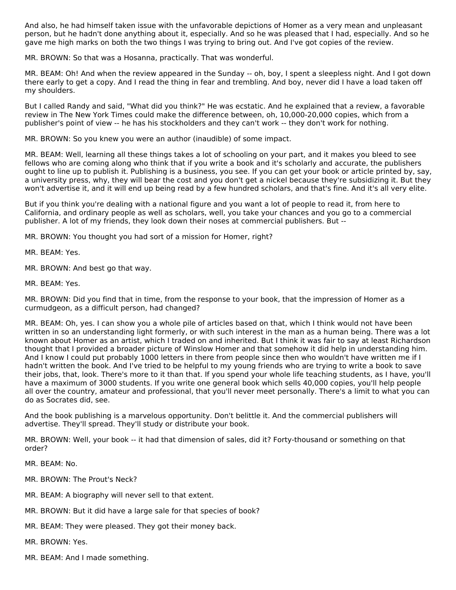And also, he had himself taken issue with the unfavorable depictions of Homer as a very mean and unpleasant person, but he hadn't done anything about it, especially. And so he was pleased that I had, especially. And so he gave me high marks on both the two things I was trying to bring out. And I've got copies of the review.

MR. BROWN: So that was a Hosanna, practically. That was wonderful.

MR. BEAM: Oh! And when the review appeared in the Sunday -- oh, boy, I spent a sleepless night. And I got down there early to get a copy. And I read the thing in fear and trembling. And boy, never did I have a load taken off my shoulders.

But I called Randy and said, "What did you think?" He was ecstatic. And he explained that a review, a favorable review in The New York Times could make the difference between, oh, 10,000-20,000 copies, which from a publisher's point of view -- he has his stockholders and they can't work -- they don't work for nothing.

MR. BROWN: So you knew you were an author (inaudible) of some impact.

MR. BEAM: Well, learning all these things takes a lot of schooling on your part, and it makes you bleed to see fellows who are coming along who think that if you write a book and it's scholarly and accurate, the publishers ought to line up to publish it. Publishing is a business, you see. If you can get your book or article printed by, say, a university press, why, they will bear the cost and you don't get a nickel because they're subsidizing it. But they won't advertise it, and it will end up being read by a few hundred scholars, and that's fine. And it's all very elite.

But if you think you're dealing with a national figure and you want a lot of people to read it, from here to California, and ordinary people as well as scholars, well, you take your chances and you go to a commercial publisher. A lot of my friends, they look down their noses at commercial publishers. But --

MR. BROWN: You thought you had sort of a mission for Homer, right?

MR. BEAM: Yes.

MR. BROWN: And best go that way.

MR. BEAM: Yes.

MR. BROWN: Did you find that in time, from the response to your book, that the impression of Homer as a curmudgeon, as a difficult person, had changed?

MR. BEAM: Oh, yes. I can show you a whole pile of articles based on that, which I think would not have been written in so an understanding light formerly, or with such interest in the man as a human being. There was a lot known about Homer as an artist, which I traded on and inherited. But I think it was fair to say at least Richardson thought that I provided a broader picture of Winslow Homer and that somehow it did help in understanding him. And I know I could put probably 1000 letters in there from people since then who wouldn't have written me if I hadn't written the book. And I've tried to be helpful to my young friends who are trying to write a book to save their jobs, that, look. There's more to it than that. If you spend your whole life teaching students, as I have, you'll have a maximum of 3000 students. If you write one general book which sells 40,000 copies, you'll help people all over the country, amateur and professional, that you'll never meet personally. There's a limit to what you can do as Socrates did, see.

And the book publishing is a marvelous opportunity. Don't belittle it. And the commercial publishers will advertise. They'll spread. They'll study or distribute your book.

MR. BROWN: Well, your book -- it had that dimension of sales, did it? Forty-thousand or something on that order?

MR. BEAM: No.

MR. BROWN: The Prout's Neck?

- MR. BEAM: A biography will never sell to that extent.
- MR. BROWN: But it did have a large sale for that species of book?

MR. BEAM: They were pleased. They got their money back.

MR. BROWN: Yes.

MR. BEAM: And I made something.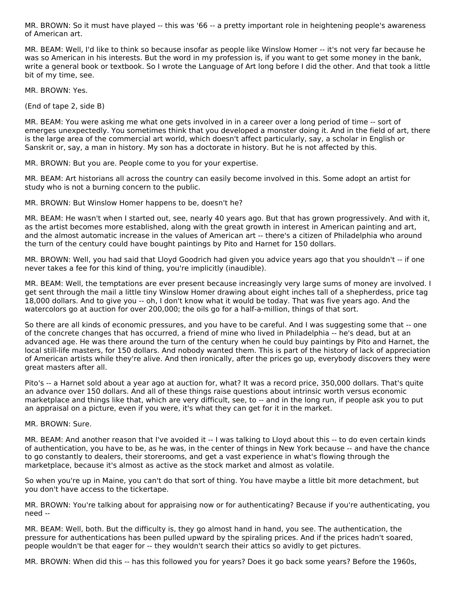MR. BROWN: So it must have played -- this was '66 -- a pretty important role in heightening people's awareness of American art.

MR. BEAM: Well, I'd like to think so because insofar as people like Winslow Homer -- it's not very far because he was so American in his interests. But the word in my profession is, if you want to get some money in the bank, write a general book or textbook. So I wrote the Language of Art long before I did the other. And that took a little bit of my time, see.

MR. BROWN: Yes.

(End of tape 2, side B)

MR. BEAM: You were asking me what one gets involved in in a career over a long period of time -- sort of emerges unexpectedly. You sometimes think that you developed a monster doing it. And in the field of art, there is the large area of the commercial art world, which doesn't affect particularly, say, a scholar in English or Sanskrit or, say, a man in history. My son has a doctorate in history. But he is not affected by this.

MR. BROWN: But you are. People come to you for your expertise.

MR. BEAM: Art historians all across the country can easily become involved in this. Some adopt an artist for study who is not a burning concern to the public.

MR. BROWN: But Winslow Homer happens to be, doesn't he?

MR. BEAM: He wasn't when I started out, see, nearly 40 years ago. But that has grown progressively. And with it, as the artist becomes more established, along with the great growth in interest in American painting and art, and the almost automatic increase in the values of American art -- there's a citizen of Philadelphia who around the turn of the century could have bought paintings by Pito and Harnet for 150 dollars.

MR. BROWN: Well, you had said that Lloyd Goodrich had given you advice years ago that you shouldn't -- if one never takes a fee for this kind of thing, you're implicitly (inaudible).

MR. BEAM: Well, the temptations are ever present because increasingly very large sums of money are involved. I get sent through the mail a little tiny Winslow Homer drawing about eight inches tall of a shepherdess, price tag 18,000 dollars. And to give you -- oh, I don't know what it would be today. That was five years ago. And the watercolors go at auction for over 200,000; the oils go for a half-a-million, things of that sort.

So there are all kinds of economic pressures, and you have to be careful. And I was suggesting some that -- one of the concrete changes that has occurred, a friend of mine who lived in Philadelphia -- he's dead, but at an advanced age. He was there around the turn of the century when he could buy paintings by Pito and Harnet, the local still-life masters, for 150 dollars. And nobody wanted them. This is part of the history of lack of appreciation of American artists while they're alive. And then ironically, after the prices go up, everybody discovers they were great masters after all.

Pito's -- a Harnet sold about a year ago at auction for, what? It was a record price, 350,000 dollars. That's quite an advance over 150 dollars. And all of these things raise questions about intrinsic worth versus economic marketplace and things like that, which are very difficult, see, to -- and in the long run, if people ask you to put an appraisal on a picture, even if you were, it's what they can get for it in the market.

MR. BROWN: Sure.

MR. BEAM: And another reason that I've avoided it -- I was talking to Lloyd about this -- to do even certain kinds of authentication, you have to be, as he was, in the center of things in New York because -- and have the chance to go constantly to dealers, their storerooms, and get a vast experience in what's flowing through the marketplace, because it's almost as active as the stock market and almost as volatile.

So when you're up in Maine, you can't do that sort of thing. You have maybe a little bit more detachment, but you don't have access to the tickertape.

MR. BROWN: You're talking about for appraising now or for authenticating? Because if you're authenticating, you need --

MR. BEAM: Well, both. But the difficulty is, they go almost hand in hand, you see. The authentication, the pressure for authentications has been pulled upward by the spiraling prices. And if the prices hadn't soared, people wouldn't be that eager for -- they wouldn't search their attics so avidly to get pictures.

MR. BROWN: When did this -- has this followed you for years? Does it go back some years? Before the 1960s,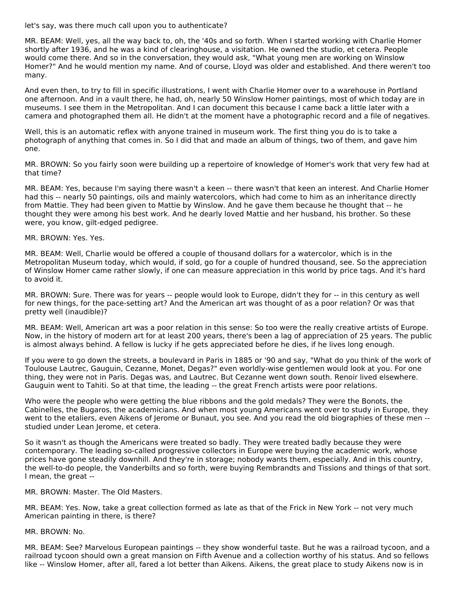let's say, was there much call upon you to authenticate?

MR. BEAM: Well, yes, all the way back to, oh, the '40s and so forth. When I started working with Charlie Homer shortly after 1936, and he was a kind of clearinghouse, a visitation. He owned the studio, et cetera. People would come there. And so in the conversation, they would ask, "What young men are working on Winslow Homer?" And he would mention my name. And of course, Lloyd was older and established. And there weren't too many.

And even then, to try to fill in specific illustrations, I went with Charlie Homer over to a warehouse in Portland one afternoon. And in a vault there, he had, oh, nearly 50 Winslow Homer paintings, most of which today are in museums. I see them in the Metropolitan. And I can document this because I came back a little later with a camera and photographed them all. He didn't at the moment have a photographic record and a file of negatives.

Well, this is an automatic reflex with anyone trained in museum work. The first thing you do is to take a photograph of anything that comes in. So I did that and made an album of things, two of them, and gave him one.

MR. BROWN: So you fairly soon were building up a repertoire of knowledge of Homer's work that very few had at that time?

MR. BEAM: Yes, because I'm saying there wasn't a keen -- there wasn't that keen an interest. And Charlie Homer had this -- nearly 50 paintings, oils and mainly watercolors, which had come to him as an inheritance directly from Mattie. They had been given to Mattie by Winslow. And he gave them because he thought that -- he thought they were among his best work. And he dearly loved Mattie and her husband, his brother. So these were, you know, gilt-edged pedigree.

#### MR. BROWN: Yes. Yes.

MR. BEAM: Well, Charlie would be offered a couple of thousand dollars for a watercolor, which is in the Metropolitan Museum today, which would, if sold, go for a couple of hundred thousand, see. So the appreciation of Winslow Homer came rather slowly, if one can measure appreciation in this world by price tags. And it's hard to avoid it.

MR. BROWN: Sure. There was for years -- people would look to Europe, didn't they for -- in this century as well for new things, for the pace-setting art? And the American art was thought of as a poor relation? Or was that pretty well (inaudible)?

MR. BEAM: Well, American art was a poor relation in this sense: So too were the really creative artists of Europe. Now, in the history of modern art for at least 200 years, there's been a lag of appreciation of 25 years. The public is almost always behind. A fellow is lucky if he gets appreciated before he dies, if he lives long enough.

If you were to go down the streets, a boulevard in Paris in 1885 or '90 and say, "What do you think of the work of Toulouse Lautrec, Gauguin, Cezanne, Monet, Degas?" even worldly-wise gentlemen would look at you. For one thing, they were not in Paris. Degas was, and Lautrec. But Cezanne went down south. Renoir lived elsewhere. Gauguin went to Tahiti. So at that time, the leading -- the great French artists were poor relations.

Who were the people who were getting the blue ribbons and the gold medals? They were the Bonots, the Cabinelles, the Bugaros, the academicians. And when most young Americans went over to study in Europe, they went to the etaliers, even Aikens of Jerome or Bunaut, you see. And you read the old biographies of these men -studied under Lean Jerome, et cetera.

So it wasn't as though the Americans were treated so badly. They were treated badly because they were contemporary. The leading so-called progressive collectors in Europe were buying the academic work, whose prices have gone steadily downhill. And they're in storage; nobody wants them, especially. And in this country, the well-to-do people, the Vanderbilts and so forth, were buying Rembrandts and Tissions and things of that sort. I mean, the great --

MR. BROWN: Master. The Old Masters.

MR. BEAM: Yes. Now, take a great collection formed as late as that of the Frick in New York -- not very much American painting in there, is there?

MR. BROWN: No.

MR. BEAM: See? Marvelous European paintings -- they show wonderful taste. But he was a railroad tycoon, and a railroad tycoon should own a great mansion on Fifth Avenue and a collection worthy of his status. And so fellows like -- Winslow Homer, after all, fared a lot better than Aikens. Aikens, the great place to study Aikens now is in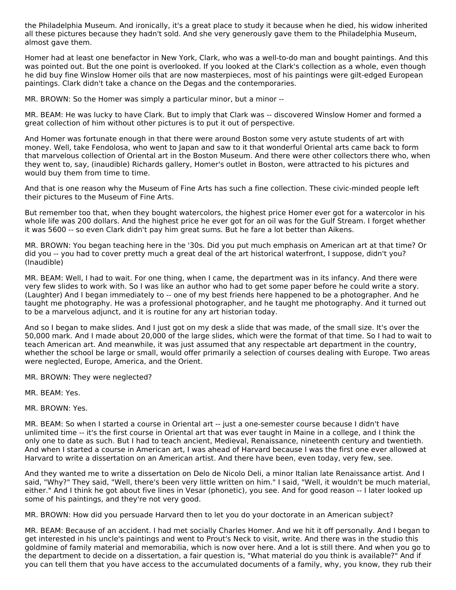the Philadelphia Museum. And ironically, it's a great place to study it because when he died, his widow inherited all these pictures because they hadn't sold. And she very generously gave them to the Philadelphia Museum, almost gave them.

Homer had at least one benefactor in New York, Clark, who was a well-to-do man and bought paintings. And this was pointed out. But the one point is overlooked. If you looked at the Clark's collection as a whole, even though he did buy fine Winslow Homer oils that are now masterpieces, most of his paintings were gilt-edged European paintings. Clark didn't take a chance on the Degas and the contemporaries.

MR. BROWN: So the Homer was simply a particular minor, but a minor --

MR. BEAM: He was lucky to have Clark. But to imply that Clark was -- discovered Winslow Homer and formed a great collection of him without other pictures is to put it out of perspective.

And Homer was fortunate enough in that there were around Boston some very astute students of art with money. Well, take Fendolosa, who went to Japan and saw to it that wonderful Oriental arts came back to form that marvelous collection of Oriental art in the Boston Museum. And there were other collectors there who, when they went to, say, (inaudible) Richards gallery, Homer's outlet in Boston, were attracted to his pictures and would buy them from time to time.

And that is one reason why the Museum of Fine Arts has such a fine collection. These civic-minded people left their pictures to the Museum of Fine Arts.

But remember too that, when they bought watercolors, the highest price Homer ever got for a watercolor in his whole life was 200 dollars. And the highest price he ever got for an oil was for the Gulf Stream. I forget whether it was 5600 -- so even Clark didn't pay him great sums. But he fare a lot better than Aikens.

MR. BROWN: You began teaching here in the '30s. Did you put much emphasis on American art at that time? Or did you -- you had to cover pretty much a great deal of the art historical waterfront, I suppose, didn't you? (Inaudible)

MR. BEAM: Well, I had to wait. For one thing, when I came, the department was in its infancy. And there were very few slides to work with. So I was like an author who had to get some paper before he could write a story. (Laughter) And I began immediately to -- one of my best friends here happened to be a photographer. And he taught me photography. He was a professional photographer, and he taught me photography. And it turned out to be a marvelous adjunct, and it is routine for any art historian today.

And so I began to make slides. And I just got on my desk a slide that was made, of the small size. It's over the 50,000 mark. And I made about 20,000 of the large slides, which were the format of that time. So I had to wait to teach American art. And meanwhile, it was just assumed that any respectable art department in the country, whether the school be large or small, would offer primarily a selection of courses dealing with Europe. Two areas were neglected, Europe, America, and the Orient.

MR. BROWN: They were neglected?

MR. BEAM: Yes.

MR. BROWN: Yes.

MR. BEAM: So when I started a course in Oriental art -- just a one-semester course because I didn't have unlimited time -- it's the first course in Oriental art that was ever taught in Maine in a college, and I think the only one to date as such. But I had to teach ancient, Medieval, Renaissance, nineteenth century and twentieth. And when I started a course in American art, I was ahead of Harvard because I was the first one ever allowed at Harvard to write a dissertation on an American artist. And there have been, even today, very few, see.

And they wanted me to write a dissertation on Delo de Nicolo Deli, a minor Italian late Renaissance artist. And I said, "Why?" They said, "Well, there's been very little written on him." I said, "Well, it wouldn't be much material, either." And I think he got about five lines in Vesar (phonetic), you see. And for good reason -- I later looked up some of his paintings, and they're not very good.

MR. BROWN: How did you persuade Harvard then to let you do your doctorate in an American subject?

MR. BEAM: Because of an accident. I had met socially Charles Homer. And we hit it off personally. And I began to get interested in his uncle's paintings and went to Prout's Neck to visit, write. And there was in the studio this goldmine of family material and memorabilia, which is now over here. And a lot is still there. And when you go to the department to decide on a dissertation, a fair question is, "What material do you think is available?" And if you can tell them that you have access to the accumulated documents of a family, why, you know, they rub their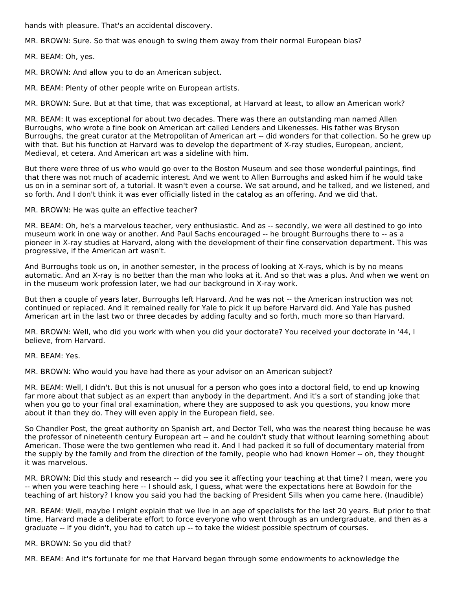hands with pleasure. That's an accidental discovery.

MR. BROWN: Sure. So that was enough to swing them away from their normal European bias?

MR. BEAM: Oh, yes.

MR. BROWN: And allow you to do an American subject.

MR. BEAM: Plenty of other people write on European artists.

MR. BROWN: Sure. But at that time, that was exceptional, at Harvard at least, to allow an American work?

MR. BEAM: It was exceptional for about two decades. There was there an outstanding man named Allen Burroughs, who wrote a fine book on American art called Lenders and Likenesses. His father was Bryson Burroughs, the great curator at the Metropolitan of American art -- did wonders for that collection. So he grew up with that. But his function at Harvard was to develop the department of X-ray studies, European, ancient, Medieval, et cetera. And American art was a sideline with him.

But there were three of us who would go over to the Boston Museum and see those wonderful paintings, find that there was not much of academic interest. And we went to Allen Burroughs and asked him if he would take us on in a seminar sort of, a tutorial. It wasn't even a course. We sat around, and he talked, and we listened, and so forth. And I don't think it was ever officially listed in the catalog as an offering. And we did that.

MR. BROWN: He was quite an effective teacher?

MR. BEAM: Oh, he's a marvelous teacher, very enthusiastic. And as -- secondly, we were all destined to go into museum work in one way or another. And Paul Sachs encouraged -- he brought Burroughs there to -- as a pioneer in X-ray studies at Harvard, along with the development of their fine conservation department. This was progressive, if the American art wasn't.

And Burroughs took us on, in another semester, in the process of looking at X-rays, which is by no means automatic. And an X-ray is no better than the man who looks at it. And so that was a plus. And when we went on in the museum work profession later, we had our background in X-ray work.

But then a couple of years later, Burroughs left Harvard. And he was not -- the American instruction was not continued or replaced. And it remained really for Yale to pick it up before Harvard did. And Yale has pushed American art in the last two or three decades by adding faculty and so forth, much more so than Harvard.

MR. BROWN: Well, who did you work with when you did your doctorate? You received your doctorate in '44, I believe, from Harvard.

MR. BEAM: Yes.

MR. BROWN: Who would you have had there as your advisor on an American subject?

MR. BEAM: Well, I didn't. But this is not unusual for a person who goes into a doctoral field, to end up knowing far more about that subject as an expert than anybody in the department. And it's a sort of standing joke that when you go to your final oral examination, where they are supposed to ask you questions, you know more about it than they do. They will even apply in the European field, see.

So Chandler Post, the great authority on Spanish art, and Dector Tell, who was the nearest thing because he was the professor of nineteenth century European art -- and he couldn't study that without learning something about American. Those were the two gentlemen who read it. And I had packed it so full of documentary material from the supply by the family and from the direction of the family, people who had known Homer -- oh, they thought it was marvelous.

MR. BROWN: Did this study and research -- did you see it affecting your teaching at that time? I mean, were you -- when you were teaching here -- I should ask, I guess, what were the expectations here at Bowdoin for the teaching of art history? I know you said you had the backing of President Sills when you came here. (Inaudible)

MR. BEAM: Well, maybe I might explain that we live in an age of specialists for the last 20 years. But prior to that time, Harvard made a deliberate effort to force everyone who went through as an undergraduate, and then as a graduate -- if you didn't, you had to catch up -- to take the widest possible spectrum of courses.

MR. BROWN: So you did that?

MR. BEAM: And it's fortunate for me that Harvard began through some endowments to acknowledge the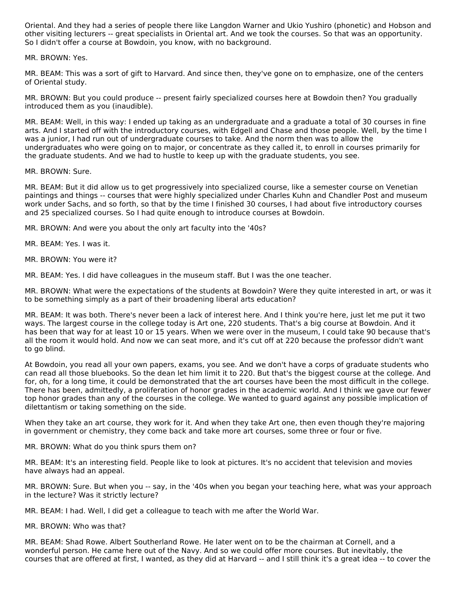Oriental. And they had a series of people there like Langdon Warner and Ukio Yushiro (phonetic) and Hobson and other visiting lecturers -- great specialists in Oriental art. And we took the courses. So that was an opportunity. So I didn't offer a course at Bowdoin, you know, with no background.

MR. BROWN: Yes.

MR. BEAM: This was a sort of gift to Harvard. And since then, they've gone on to emphasize, one of the centers of Oriental study.

MR. BROWN: But you could produce -- present fairly specialized courses here at Bowdoin then? You gradually introduced them as you (inaudible).

MR. BEAM: Well, in this way: I ended up taking as an undergraduate and a graduate a total of 30 courses in fine arts. And I started off with the introductory courses, with Edgell and Chase and those people. Well, by the time I was a junior, I had run out of undergraduate courses to take. And the norm then was to allow the undergraduates who were going on to major, or concentrate as they called it, to enroll in courses primarily for the graduate students. And we had to hustle to keep up with the graduate students, you see.

MR. BROWN: Sure.

MR. BEAM: But it did allow us to get progressively into specialized course, like a semester course on Venetian paintings and things -- courses that were highly specialized under Charles Kuhn and Chandler Post and museum work under Sachs, and so forth, so that by the time I finished 30 courses, I had about five introductory courses and 25 specialized courses. So I had quite enough to introduce courses at Bowdoin.

MR. BROWN: And were you about the only art faculty into the '40s?

MR. BEAM: Yes. I was it.

MR. BROWN: You were it?

MR. BEAM: Yes. I did have colleagues in the museum staff. But I was the one teacher.

MR. BROWN: What were the expectations of the students at Bowdoin? Were they quite interested in art, or was it to be something simply as a part of their broadening liberal arts education?

MR. BEAM: It was both. There's never been a lack of interest here. And I think you're here, just let me put it two ways. The largest course in the college today is Art one, 220 students. That's a big course at Bowdoin. And it has been that way for at least 10 or 15 years. When we were over in the museum, I could take 90 because that's all the room it would hold. And now we can seat more, and it's cut off at 220 because the professor didn't want to go blind.

At Bowdoin, you read all your own papers, exams, you see. And we don't have a corps of graduate students who can read all those bluebooks. So the dean let him limit it to 220. But that's the biggest course at the college. And for, oh, for a long time, it could be demonstrated that the art courses have been the most difficult in the college. There has been, admittedly, a proliferation of honor grades in the academic world. And I think we gave our fewer top honor grades than any of the courses in the college. We wanted to guard against any possible implication of dilettantism or taking something on the side.

When they take an art course, they work for it. And when they take Art one, then even though they're majoring in government or chemistry, they come back and take more art courses, some three or four or five.

MR. BROWN: What do you think spurs them on?

MR. BEAM: It's an interesting field. People like to look at pictures. It's no accident that television and movies have always had an appeal.

MR. BROWN: Sure. But when you -- say, in the '40s when you began your teaching here, what was your approach in the lecture? Was it strictly lecture?

MR. BEAM: I had. Well, I did get a colleague to teach with me after the World War.

MR. BROWN: Who was that?

MR. BEAM: Shad Rowe. Albert Southerland Rowe. He later went on to be the chairman at Cornell, and a wonderful person. He came here out of the Navy. And so we could offer more courses. But inevitably, the courses that are offered at first, I wanted, as they did at Harvard -- and I still think it's a great idea -- to cover the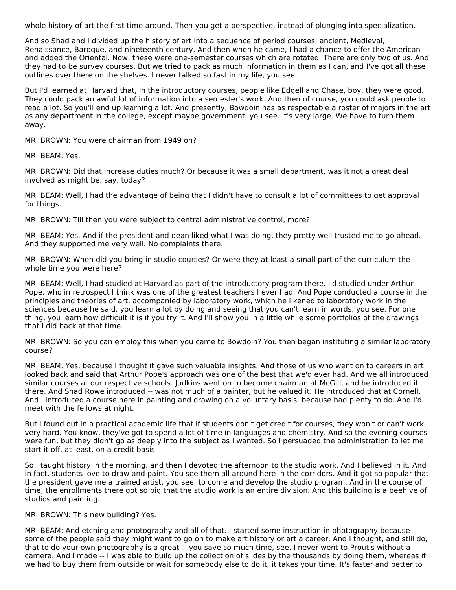whole history of art the first time around. Then you get a perspective, instead of plunging into specialization.

And so Shad and I divided up the history of art into a sequence of period courses, ancient, Medieval, Renaissance, Baroque, and nineteenth century. And then when he came, I had a chance to offer the American and added the Oriental. Now, these were one-semester courses which are rotated. There are only two of us. And they had to be survey courses. But we tried to pack as much information in them as I can, and I've got all these outlines over there on the shelves. I never talked so fast in my life, you see.

But I'd learned at Harvard that, in the introductory courses, people like Edgell and Chase, boy, they were good. They could pack an awful lot of information into a semester's work. And then of course, you could ask people to read a lot. So you'll end up learning a lot. And presently, Bowdoin has as respectable a roster of majors in the art as any department in the college, except maybe government, you see. It's very large. We have to turn them away.

MR. BROWN: You were chairman from 1949 on?

MR. BEAM: Yes.

MR. BROWN: Did that increase duties much? Or because it was a small department, was it not a great deal involved as might be, say, today?

MR. BEAM: Well, I had the advantage of being that I didn't have to consult a lot of committees to get approval for things.

MR. BROWN: Till then you were subject to central administrative control, more?

MR. BEAM: Yes. And if the president and dean liked what I was doing, they pretty well trusted me to go ahead. And they supported me very well. No complaints there.

MR. BROWN: When did you bring in studio courses? Or were they at least a small part of the curriculum the whole time you were here?

MR. BEAM: Well, I had studied at Harvard as part of the introductory program there. I'd studied under Arthur Pope, who in retrospect I think was one of the greatest teachers I ever had. And Pope conducted a course in the principles and theories of art, accompanied by laboratory work, which he likened to laboratory work in the sciences because he said, you learn a lot by doing and seeing that you can't learn in words, you see. For one thing, you learn how difficult it is if you try it. And I'll show you in a little while some portfolios of the drawings that I did back at that time.

MR. BROWN: So you can employ this when you came to Bowdoin? You then began instituting a similar laboratory course?

MR. BEAM: Yes, because I thought it gave such valuable insights. And those of us who went on to careers in art looked back and said that Arthur Pope's approach was one of the best that we'd ever had. And we all introduced similar courses at our respective schools. Judkins went on to become chairman at McGill, and he introduced it there. And Shad Rowe introduced -- was not much of a painter, but he valued it. He introduced that at Cornell. And I introduced a course here in painting and drawing on a voluntary basis, because had plenty to do. And I'd meet with the fellows at night.

But I found out in a practical academic life that if students don't get credit for courses, they won't or can't work very hard. You know, they've got to spend a lot of time in languages and chemistry. And so the evening courses were fun, but they didn't go as deeply into the subject as I wanted. So I persuaded the administration to let me start it off, at least, on a credit basis.

So I taught history in the morning, and then I devoted the afternoon to the studio work. And I believed in it. And in fact, students love to draw and paint. You see them all around here in the corridors. And it got so popular that the president gave me a trained artist, you see, to come and develop the studio program. And in the course of time, the enrollments there got so big that the studio work is an entire division. And this building is a beehive of studios and painting.

#### MR. BROWN: This new building? Yes.

MR. BEAM: And etching and photography and all of that. I started some instruction in photography because some of the people said they might want to go on to make art history or art a career. And I thought, and still do, that to do your own photography is a great -- you save so much time, see. I never went to Prout's without a camera. And I made -- I was able to build up the collection of slides by the thousands by doing them, whereas if we had to buy them from outside or wait for somebody else to do it, it takes your time. It's faster and better to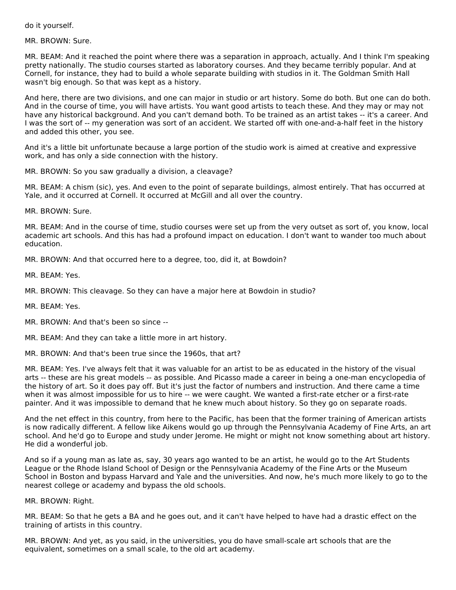do it yourself.

MR. BROWN: Sure.

MR. BEAM: And it reached the point where there was a separation in approach, actually. And I think I'm speaking pretty nationally. The studio courses started as laboratory courses. And they became terribly popular. And at Cornell, for instance, they had to build a whole separate building with studios in it. The Goldman Smith Hall wasn't big enough. So that was kept as a history.

And here, there are two divisions, and one can major in studio or art history. Some do both. But one can do both. And in the course of time, you will have artists. You want good artists to teach these. And they may or may not have any historical background. And you can't demand both. To be trained as an artist takes -- it's a career. And I was the sort of -- my generation was sort of an accident. We started off with one-and-a-half feet in the history and added this other, you see.

And it's a little bit unfortunate because a large portion of the studio work is aimed at creative and expressive work, and has only a side connection with the history.

MR. BROWN: So you saw gradually a division, a cleavage?

MR. BEAM: A chism (sic), yes. And even to the point of separate buildings, almost entirely. That has occurred at Yale, and it occurred at Cornell. It occurred at McGill and all over the country.

MR. BROWN: Sure.

MR. BEAM: And in the course of time, studio courses were set up from the very outset as sort of, you know, local academic art schools. And this has had a profound impact on education. I don't want to wander too much about education.

MR. BROWN: And that occurred here to a degree, too, did it, at Bowdoin?

MR. BEAM: Yes.

MR. BROWN: This cleavage. So they can have a major here at Bowdoin in studio?

MR. BEAM: Yes.

MR. BROWN: And that's been so since --

MR. BEAM: And they can take a little more in art history.

MR. BROWN: And that's been true since the 1960s, that art?

MR. BEAM: Yes. I've always felt that it was valuable for an artist to be as educated in the history of the visual arts -- these are his great models -- as possible. And Picasso made a career in being a one-man encyclopedia of the history of art. So it does pay off. But it's just the factor of numbers and instruction. And there came a time when it was almost impossible for us to hire -- we were caught. We wanted a first-rate etcher or a first-rate painter. And it was impossible to demand that he knew much about history. So they go on separate roads.

And the net effect in this country, from here to the Pacific, has been that the former training of American artists is now radically different. A fellow like Aikens would go up through the Pennsylvania Academy of Fine Arts, an art school. And he'd go to Europe and study under Jerome. He might or might not know something about art history. He did a wonderful job.

And so if a young man as late as, say, 30 years ago wanted to be an artist, he would go to the Art Students League or the Rhode Island School of Design or the Pennsylvania Academy of the Fine Arts or the Museum School in Boston and bypass Harvard and Yale and the universities. And now, he's much more likely to go to the nearest college or academy and bypass the old schools.

MR. BROWN: Right.

MR. BEAM: So that he gets a BA and he goes out, and it can't have helped to have had a drastic effect on the training of artists in this country.

MR. BROWN: And yet, as you said, in the universities, you do have small-scale art schools that are the equivalent, sometimes on a small scale, to the old art academy.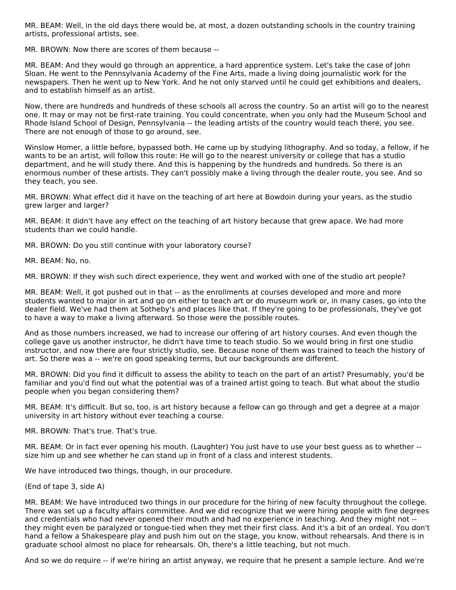MR. BEAM: Well, in the old days there would be, at most, a dozen outstanding schools in the country training artists, professional artists, see.

MR. BROWN: Now there are scores of them because --

MR. BEAM: And they would go through an apprentice, a hard apprentice system. Let's take the case of John Sloan. He went to the Pennsylvania Academy of the Fine Arts, made a living doing journalistic work for the newspapers. Then he went up to New York. And he not only starved until he could get exhibitions and dealers, and to establish himself as an artist.

Now, there are hundreds and hundreds of these schools all across the country. So an artist will go to the nearest one. It may or may not be first-rate training. You could concentrate, when you only had the Museum School and Rhode Island School of Design, Pennsylvania -- the leading artists of the country would teach there, you see. There are not enough of those to go around, see.

Winslow Homer, a little before, bypassed both. He came up by studying lithography. And so today, a fellow, if he wants to be an artist, will follow this route: He will go to the nearest university or college that has a studio department, and he will study there. And this is happening by the hundreds and hundreds. So there is an enormous number of these artists. They can't possibly make a living through the dealer route, you see. And so they teach, you see.

MR. BROWN: What effect did it have on the teaching of art here at Bowdoin during your years, as the studio grew larger and larger?

MR. BEAM: It didn't have any effect on the teaching of art history because that grew apace. We had more students than we could handle.

MR. BROWN: Do you still continue with your laboratory course?

MR. BEAM: No, no.

MR. BROWN: If they wish such direct experience, they went and worked with one of the studio art people?

MR. BEAM: Well, it got pushed out in that -- as the enrollments at courses developed and more and more students wanted to major in art and go on either to teach art or do museum work or, in many cases, go into the dealer field. We've had them at Sotheby's and places like that. If they're going to be professionals, they've got to have a way to make a living afterward. So those were the possible routes.

And as those numbers increased, we had to increase our offering of art history courses. And even though the college gave us another instructor, he didn't have time to teach studio. So we would bring in first one studio instructor, and now there are four strictly studio, see. Because none of them was trained to teach the history of art. So there was a -- we're on good speaking terms, but our backgrounds are different.

MR. BROWN: Did you find it difficult to assess the ability to teach on the part of an artist? Presumably, you'd be familiar and you'd find out what the potential was of a trained artist going to teach. But what about the studio people when you began considering them?

MR. BEAM: It's difficult. But so, too, is art history because a fellow can go through and get a degree at a major university in art history without ever teaching a course.

MR. BROWN: That's true. That's true.

MR. BEAM: Or in fact ever opening his mouth. (Laughter) You just have to use your best guess as to whether - size him up and see whether he can stand up in front of a class and interest students.

We have introduced two things, though, in our procedure.

(End of tape 3, side A)

MR. BEAM: We have introduced two things in our procedure for the hiring of new faculty throughout the college. There was set up a faculty affairs committee. And we did recognize that we were hiring people with fine degrees and credentials who had never opened their mouth and had no experience in teaching. And they might not - they might even be paralyzed or tongue-tied when they met their first class. And it's a bit of an ordeal. You don't hand a fellow a Shakespeare play and push him out on the stage, you know, without rehearsals. And there is in graduate school almost no place for rehearsals. Oh, there's a little teaching, but not much.

And so we do require -- if we're hiring an artist anyway, we require that he present a sample lecture. And we're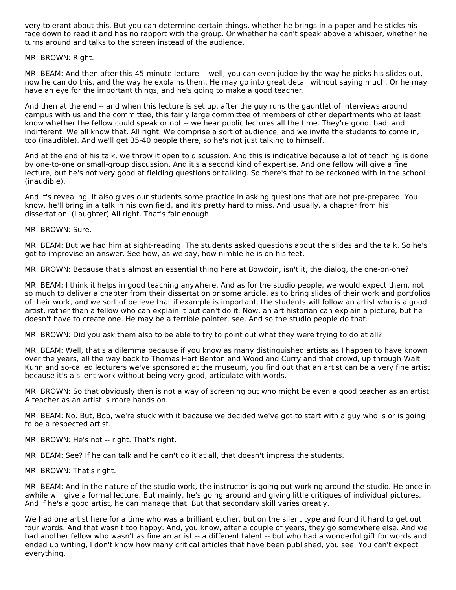very tolerant about this. But you can determine certain things, whether he brings in a paper and he sticks his face down to read it and has no rapport with the group. Or whether he can't speak above a whisper, whether he turns around and talks to the screen instead of the audience.

#### MR. BROWN: Right.

MR. BEAM: And then after this 45-minute lecture -- well, you can even judge by the way he picks his slides out, now he can do this, and the way he explains them. He may go into great detail without saying much. Or he may have an eye for the important things, and he's going to make a good teacher.

And then at the end -- and when this lecture is set up, after the guy runs the gauntlet of interviews around campus with us and the committee, this fairly large committee of members of other departments who at least know whether the fellow could speak or not -- we hear public lectures all the time. They're good, bad, and indifferent. We all know that. All right. We comprise a sort of audience, and we invite the students to come in, too (inaudible). And we'll get 35-40 people there, so he's not just talking to himself.

And at the end of his talk, we throw it open to discussion. And this is indicative because a lot of teaching is done by one-to-one or small-group discussion. And it's a second kind of expertise. And one fellow will give a fine lecture, but he's not very good at fielding questions or talking. So there's that to be reckoned with in the school (inaudible).

And it's revealing. It also gives our students some practice in asking questions that are not pre-prepared. You know, he'll bring in a talk in his own field, and it's pretty hard to miss. And usually, a chapter from his dissertation. (Laughter) All right. That's fair enough.

MR. BROWN: Sure.

MR. BEAM: But we had him at sight-reading. The students asked questions about the slides and the talk. So he's got to improvise an answer. See how, as we say, how nimble he is on his feet.

MR. BROWN: Because that's almost an essential thing here at Bowdoin, isn't it, the dialog, the one-on-one?

MR. BEAM: I think it helps in good teaching anywhere. And as for the studio people, we would expect them, not so much to deliver a chapter from their dissertation or some article, as to bring slides of their work and portfolios of their work, and we sort of believe that if example is important, the students will follow an artist who is a good artist, rather than a fellow who can explain it but can't do it. Now, an art historian can explain a picture, but he doesn't have to create one. He may be a terrible painter, see. And so the studio people do that.

MR. BROWN: Did you ask them also to be able to try to point out what they were trying to do at all?

MR. BEAM: Well, that's a dilemma because if you know as many distinguished artists as I happen to have known over the years, all the way back to Thomas Hart Benton and Wood and Curry and that crowd, up through Walt Kuhn and so-called lecturers we've sponsored at the museum, you find out that an artist can be a very fine artist because it's a silent work without being very good, articulate with words.

MR. BROWN: So that obviously then is not a way of screening out who might be even a good teacher as an artist. A teacher as an artist is more hands on.

MR. BEAM: No. But, Bob, we're stuck with it because we decided we've got to start with a guy who is or is going to be a respected artist.

MR. BROWN: He's not -- right. That's right.

MR. BEAM: See? If he can talk and he can't do it at all, that doesn't impress the students.

MR. BROWN: That's right.

MR. BEAM: And in the nature of the studio work, the instructor is going out working around the studio. He once in awhile will give a formal lecture. But mainly, he's going around and giving little critiques of individual pictures. And if he's a good artist, he can manage that. But that secondary skill varies greatly.

We had one artist here for a time who was a brilliant etcher, but on the silent type and found it hard to get out four words. And that wasn't too happy. And, you know, after a couple of years, they go somewhere else. And we had another fellow who wasn't as fine an artist -- a different talent -- but who had a wonderful gift for words and ended up writing, I don't know how many critical articles that have been published, you see. You can't expect everything.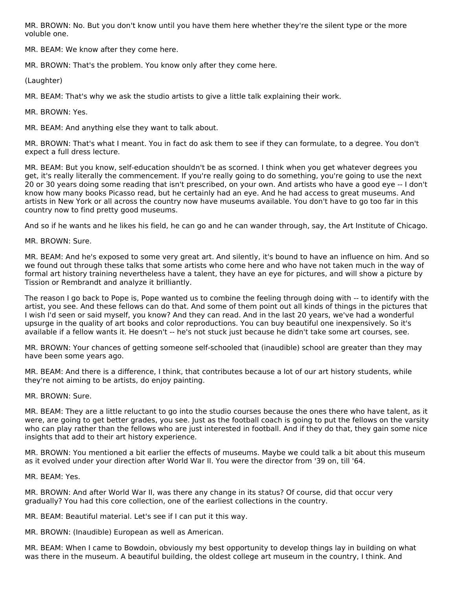MR. BROWN: No. But you don't know until you have them here whether they're the silent type or the more voluble one.

MR. BEAM: We know after they come here.

MR. BROWN: That's the problem. You know only after they come here.

(Laughter)

MR. BEAM: That's why we ask the studio artists to give a little talk explaining their work.

MR. BROWN: Yes.

MR. BEAM: And anything else they want to talk about.

MR. BROWN: That's what I meant. You in fact do ask them to see if they can formulate, to a degree. You don't expect a full dress lecture.

MR. BEAM: But you know, self-education shouldn't be as scorned. I think when you get whatever degrees you get, it's really literally the commencement. If you're really going to do something, you're going to use the next 20 or 30 years doing some reading that isn't prescribed, on your own. And artists who have a good eye -- I don't know how many books Picasso read, but he certainly had an eye. And he had access to great museums. And artists in New York or all across the country now have museums available. You don't have to go too far in this country now to find pretty good museums.

And so if he wants and he likes his field, he can go and he can wander through, say, the Art Institute of Chicago.

MR. BROWN: Sure.

MR. BEAM: And he's exposed to some very great art. And silently, it's bound to have an influence on him. And so we found out through these talks that some artists who come here and who have not taken much in the way of formal art history training nevertheless have a talent, they have an eye for pictures, and will show a picture by Tission or Rembrandt and analyze it brilliantly.

The reason I go back to Pope is, Pope wanted us to combine the feeling through doing with -- to identify with the artist, you see. And these fellows can do that. And some of them point out all kinds of things in the pictures that I wish I'd seen or said myself, you know? And they can read. And in the last 20 years, we've had a wonderful upsurge in the quality of art books and color reproductions. You can buy beautiful one inexpensively. So it's available if a fellow wants it. He doesn't -- he's not stuck just because he didn't take some art courses, see.

MR. BROWN: Your chances of getting someone self-schooled that (inaudible) school are greater than they may have been some years ago.

MR. BEAM: And there is a difference, I think, that contributes because a lot of our art history students, while they're not aiming to be artists, do enjoy painting.

MR. BROWN: Sure.

MR. BEAM: They are a little reluctant to go into the studio courses because the ones there who have talent, as it were, are going to get better grades, you see. Just as the football coach is going to put the fellows on the varsity who can play rather than the fellows who are just interested in football. And if they do that, they gain some nice insights that add to their art history experience.

MR. BROWN: You mentioned a bit earlier the effects of museums. Maybe we could talk a bit about this museum as it evolved under your direction after World War II. You were the director from '39 on, till '64.

MR. BEAM: Yes.

MR. BROWN: And after World War II, was there any change in its status? Of course, did that occur very gradually? You had this core collection, one of the earliest collections in the country.

MR. BEAM: Beautiful material. Let's see if I can put it this way.

MR. BROWN: (Inaudible) European as well as American.

MR. BEAM: When I came to Bowdoin, obviously my best opportunity to develop things lay in building on what was there in the museum. A beautiful building, the oldest college art museum in the country, I think. And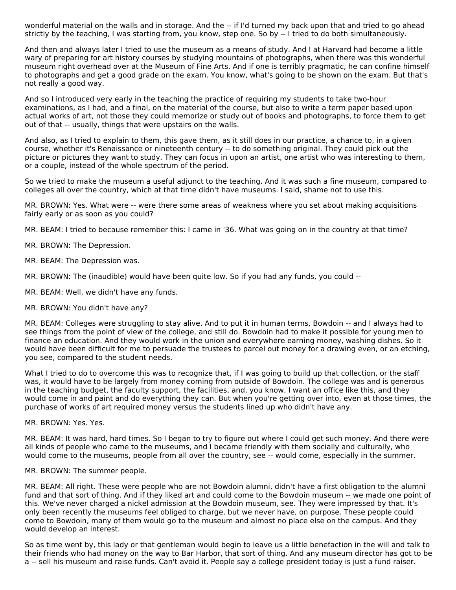wonderful material on the walls and in storage. And the -- if I'd turned my back upon that and tried to go ahead strictly by the teaching, I was starting from, you know, step one. So by -- I tried to do both simultaneously.

And then and always later I tried to use the museum as a means of study. And I at Harvard had become a little wary of preparing for art history courses by studying mountains of photographs, when there was this wonderful museum right overhead over at the Museum of Fine Arts. And if one is terribly pragmatic, he can confine himself to photographs and get a good grade on the exam. You know, what's going to be shown on the exam. But that's not really a good way.

And so I introduced very early in the teaching the practice of requiring my students to take two-hour examinations, as I had, and a final, on the material of the course, but also to write a term paper based upon actual works of art, not those they could memorize or study out of books and photographs, to force them to get out of that -- usually, things that were upstairs on the walls.

And also, as I tried to explain to them, this gave them, as it still does in our practice, a chance to, in a given course, whether it's Renaissance or nineteenth century -- to do something original. They could pick out the picture or pictures they want to study. They can focus in upon an artist, one artist who was interesting to them, or a couple, instead of the whole spectrum of the period.

So we tried to make the museum a useful adjunct to the teaching. And it was such a fine museum, compared to colleges all over the country, which at that time didn't have museums. I said, shame not to use this.

MR. BROWN: Yes. What were -- were there some areas of weakness where you set about making acquisitions fairly early or as soon as you could?

MR. BEAM: I tried to because remember this: I came in '36. What was going on in the country at that time?

MR. BROWN: The Depression.

MR. BEAM: The Depression was.

MR. BROWN: The (inaudible) would have been quite low. So if you had any funds, you could --

MR. BEAM: Well, we didn't have any funds.

MR. BROWN: You didn't have any?

MR. BEAM: Colleges were struggling to stay alive. And to put it in human terms, Bowdoin -- and I always had to see things from the point of view of the college, and still do. Bowdoin had to make it possible for young men to finance an education. And they would work in the union and everywhere earning money, washing dishes. So it would have been difficult for me to persuade the trustees to parcel out money for a drawing even, or an etching, you see, compared to the student needs.

What I tried to do to overcome this was to recognize that, if I was going to build up that collection, or the staff was, it would have to be largely from money coming from outside of Bowdoin. The college was and is generous in the teaching budget, the faculty support, the facilities, and, you know, I want an office like this, and they would come in and paint and do everything they can. But when you're getting over into, even at those times, the purchase of works of art required money versus the students lined up who didn't have any.

MR. BROWN: Yes. Yes.

MR. BEAM: It was hard, hard times. So I began to try to figure out where I could get such money. And there were all kinds of people who came to the museums, and I became friendly with them socially and culturally, who would come to the museums, people from all over the country, see -- would come, especially in the summer.

MR. BROWN: The summer people.

MR. BEAM: All right. These were people who are not Bowdoin alumni, didn't have a first obligation to the alumni fund and that sort of thing. And if they liked art and could come to the Bowdoin museum -- we made one point of this. We've never charged a nickel admission at the Bowdoin museum, see. They were impressed by that. It's only been recently the museums feel obliged to charge, but we never have, on purpose. These people could come to Bowdoin, many of them would go to the museum and almost no place else on the campus. And they would develop an interest.

So as time went by, this lady or that gentleman would begin to leave us a little benefaction in the will and talk to their friends who had money on the way to Bar Harbor, that sort of thing. And any museum director has got to be a -- sell his museum and raise funds. Can't avoid it. People say a college president today is just a fund raiser.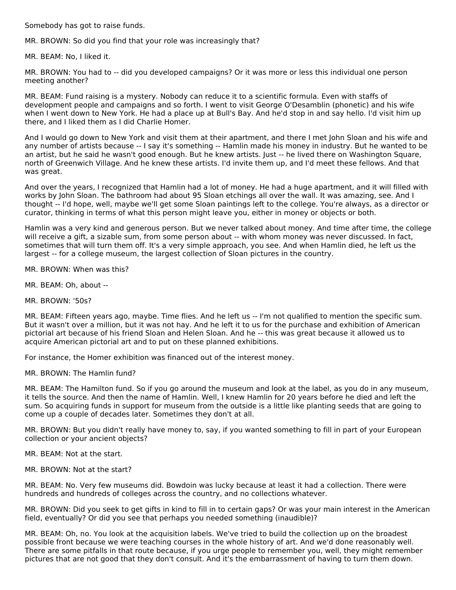Somebody has got to raise funds.

MR. BROWN: So did you find that your role was increasingly that?

MR. BEAM: No, I liked it.

MR. BROWN: You had to -- did you developed campaigns? Or it was more or less this individual one person meeting another?

MR. BEAM: Fund raising is a mystery. Nobody can reduce it to a scientific formula. Even with staffs of development people and campaigns and so forth. I went to visit George O'Desamblin (phonetic) and his wife when I went down to New York. He had a place up at Bull's Bay. And he'd stop in and say hello. I'd visit him up there, and I liked them as I did Charlie Homer.

And I would go down to New York and visit them at their apartment, and there I met John Sloan and his wife and any number of artists because -- I say it's something -- Hamlin made his money in industry. But he wanted to be an artist, but he said he wasn't good enough. But he knew artists. Just -- he lived there on Washington Square, north of Greenwich Village. And he knew these artists. I'd invite them up, and I'd meet these fellows. And that was great.

And over the years, I recognized that Hamlin had a lot of money. He had a huge apartment, and it will filled with works by John Sloan. The bathroom had about 95 Sloan etchings all over the wall. It was amazing, see. And I thought -- I'd hope, well, maybe we'll get some Sloan paintings left to the college. You're always, as a director or curator, thinking in terms of what this person might leave you, either in money or objects or both.

Hamlin was a very kind and generous person. But we never talked about money. And time after time, the college will receive a gift, a sizable sum, from some person about -- with whom money was never discussed. In fact, sometimes that will turn them off. It's a very simple approach, you see. And when Hamlin died, he left us the largest -- for a college museum, the largest collection of Sloan pictures in the country.

MR. BROWN: When was this?

MR. BEAM: Oh, about --

MR. BROWN: '50s?

MR. BEAM: Fifteen years ago, maybe. Time flies. And he left us -- I'm not qualified to mention the specific sum. But it wasn't over a million, but it was not hay. And he left it to us for the purchase and exhibition of American pictorial art because of his friend Sloan and Helen Sloan. And he -- this was great because it allowed us to acquire American pictorial art and to put on these planned exhibitions.

For instance, the Homer exhibition was financed out of the interest money.

MR. BROWN: The Hamlin fund?

MR. BEAM: The Hamilton fund. So if you go around the museum and look at the label, as you do in any museum, it tells the source. And then the name of Hamlin. Well, I knew Hamlin for 20 years before he died and left the sum. So acquiring funds in support for museum from the outside is a little like planting seeds that are going to come up a couple of decades later. Sometimes they don't at all.

MR. BROWN: But you didn't really have money to, say, if you wanted something to fill in part of your European collection or your ancient objects?

MR. BEAM: Not at the start.

MR. BROWN: Not at the start?

MR. BEAM: No. Very few museums did. Bowdoin was lucky because at least it had a collection. There were hundreds and hundreds of colleges across the country, and no collections whatever.

MR. BROWN: Did you seek to get gifts in kind to fill in to certain gaps? Or was your main interest in the American field, eventually? Or did you see that perhaps you needed something (inaudible)?

MR. BEAM: Oh, no. You look at the acquisition labels. We've tried to build the collection up on the broadest possible front because we were teaching courses in the whole history of art. And we'd done reasonably well. There are some pitfalls in that route because, if you urge people to remember you, well, they might remember pictures that are not good that they don't consult. And it's the embarrassment of having to turn them down.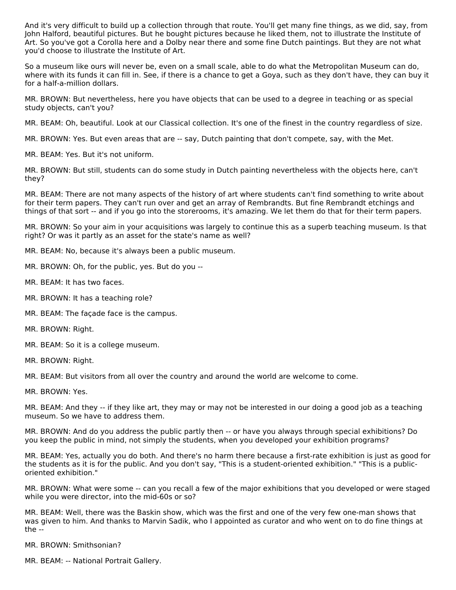And it's very difficult to build up a collection through that route. You'll get many fine things, as we did, say, from John Halford, beautiful pictures. But he bought pictures because he liked them, not to illustrate the Institute of Art. So you've got a Corolla here and a Dolby near there and some fine Dutch paintings. But they are not what you'd choose to illustrate the Institute of Art.

So a museum like ours will never be, even on a small scale, able to do what the Metropolitan Museum can do, where with its funds it can fill in. See, if there is a chance to get a Goya, such as they don't have, they can buy it for a half-a-million dollars.

MR. BROWN: But nevertheless, here you have objects that can be used to a degree in teaching or as special study objects, can't you?

MR. BEAM: Oh, beautiful. Look at our Classical collection. It's one of the finest in the country regardless of size.

MR. BROWN: Yes. But even areas that are -- say, Dutch painting that don't compete, say, with the Met.

MR. BEAM: Yes. But it's not uniform.

MR. BROWN: But still, students can do some study in Dutch painting nevertheless with the objects here, can't they?

MR. BEAM: There are not many aspects of the history of art where students can't find something to write about for their term papers. They can't run over and get an array of Rembrandts. But fine Rembrandt etchings and things of that sort -- and if you go into the storerooms, it's amazing. We let them do that for their term papers.

MR. BROWN: So your aim in your acquisitions was largely to continue this as a superb teaching museum. Is that right? Or was it partly as an asset for the state's name as well?

MR. BEAM: No, because it's always been a public museum.

MR. BROWN: Oh, for the public, yes. But do you --

- MR. BEAM: It has two faces.
- MR. BROWN: It has a teaching role?
- MR. BEAM: The façade face is the campus.
- MR. BROWN: Right.
- MR. BEAM: So it is a college museum.
- MR. BROWN: Right.

MR. BEAM: But visitors from all over the country and around the world are welcome to come.

MR. BROWN: Yes.

MR. BEAM: And they -- if they like art, they may or may not be interested in our doing a good job as a teaching museum. So we have to address them.

MR. BROWN: And do you address the public partly then -- or have you always through special exhibitions? Do you keep the public in mind, not simply the students, when you developed your exhibition programs?

MR. BEAM: Yes, actually you do both. And there's no harm there because a first-rate exhibition is just as good for the students as it is for the public. And you don't say, "This is a student-oriented exhibition." "This is a publicoriented exhibition."

MR. BROWN: What were some -- can you recall a few of the major exhibitions that you developed or were staged while you were director, into the mid-60s or so?

MR. BEAM: Well, there was the Baskin show, which was the first and one of the very few one-man shows that was given to him. And thanks to Marvin Sadik, who I appointed as curator and who went on to do fine things at the --

MR. BROWN: Smithsonian?

MR. BEAM: -- National Portrait Gallery.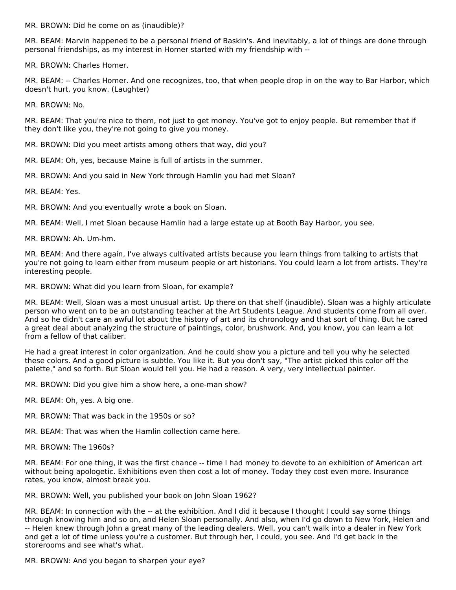MR. BROWN: Did he come on as (inaudible)?

MR. BEAM: Marvin happened to be a personal friend of Baskin's. And inevitably, a lot of things are done through personal friendships, as my interest in Homer started with my friendship with --

MR. BROWN: Charles Homer.

MR. BEAM: -- Charles Homer. And one recognizes, too, that when people drop in on the way to Bar Harbor, which doesn't hurt, you know. (Laughter)

MR. BROWN: No.

MR. BEAM: That you're nice to them, not just to get money. You've got to enjoy people. But remember that if they don't like you, they're not going to give you money.

MR. BROWN: Did you meet artists among others that way, did you?

MR. BEAM: Oh, yes, because Maine is full of artists in the summer.

MR. BROWN: And you said in New York through Hamlin you had met Sloan?

MR. BEAM: Yes.

MR. BROWN: And you eventually wrote a book on Sloan.

MR. BEAM: Well, I met Sloan because Hamlin had a large estate up at Booth Bay Harbor, you see.

MR. BROWN: Ah. Um-hm.

MR. BEAM: And there again, I've always cultivated artists because you learn things from talking to artists that you're not going to learn either from museum people or art historians. You could learn a lot from artists. They're interesting people.

MR. BROWN: What did you learn from Sloan, for example?

MR. BEAM: Well, Sloan was a most unusual artist. Up there on that shelf (inaudible). Sloan was a highly articulate person who went on to be an outstanding teacher at the Art Students League. And students come from all over. And so he didn't care an awful lot about the history of art and its chronology and that sort of thing. But he cared a great deal about analyzing the structure of paintings, color, brushwork. And, you know, you can learn a lot from a fellow of that caliber.

He had a great interest in color organization. And he could show you a picture and tell you why he selected these colors. And a good picture is subtle. You like it. But you don't say, "The artist picked this color off the palette," and so forth. But Sloan would tell you. He had a reason. A very, very intellectual painter.

MR. BROWN: Did you give him a show here, a one-man show?

MR. BEAM: Oh, yes. A big one.

MR. BROWN: That was back in the 1950s or so?

MR. BEAM: That was when the Hamlin collection came here.

MR. BROWN: The 1960s?

MR. BEAM: For one thing, it was the first chance -- time I had money to devote to an exhibition of American art without being apologetic. Exhibitions even then cost a lot of money. Today they cost even more. Insurance rates, you know, almost break you.

MR. BROWN: Well, you published your book on John Sloan 1962?

MR. BEAM: In connection with the -- at the exhibition. And I did it because I thought I could say some things through knowing him and so on, and Helen Sloan personally. And also, when I'd go down to New York, Helen and -- Helen knew through John a great many of the leading dealers. Well, you can't walk into a dealer in New York and get a lot of time unless you're a customer. But through her, I could, you see. And I'd get back in the storerooms and see what's what.

MR. BROWN: And you began to sharpen your eye?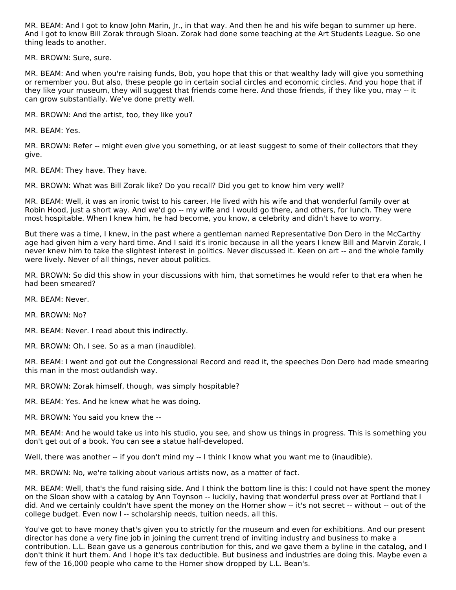MR. BEAM: And I got to know John Marin, Jr., in that way. And then he and his wife began to summer up here. And I got to know Bill Zorak through Sloan. Zorak had done some teaching at the Art Students League. So one thing leads to another.

MR. BROWN: Sure, sure.

MR. BEAM: And when you're raising funds, Bob, you hope that this or that wealthy lady will give you something or remember you. But also, these people go in certain social circles and economic circles. And you hope that if they like your museum, they will suggest that friends come here. And those friends, if they like you, may -- it can grow substantially. We've done pretty well.

MR. BROWN: And the artist, too, they like you?

MR. BEAM: Yes.

MR. BROWN: Refer -- might even give you something, or at least suggest to some of their collectors that they give.

MR. BEAM: They have. They have.

MR. BROWN: What was Bill Zorak like? Do you recall? Did you get to know him very well?

MR. BEAM: Well, it was an ironic twist to his career. He lived with his wife and that wonderful family over at Robin Hood, just a short way. And we'd go -- my wife and I would go there, and others, for lunch. They were most hospitable. When I knew him, he had become, you know, a celebrity and didn't have to worry.

But there was a time, I knew, in the past where a gentleman named Representative Don Dero in the McCarthy age had given him a very hard time. And I said it's ironic because in all the years I knew Bill and Marvin Zorak, I never knew him to take the slightest interest in politics. Never discussed it. Keen on art -- and the whole family were lively. Never of all things, never about politics.

MR. BROWN: So did this show in your discussions with him, that sometimes he would refer to that era when he had been smeared?

MR. BEAM: Never.

MR. BROWN: No?

MR. BEAM: Never. I read about this indirectly.

MR. BROWN: Oh, I see. So as a man (inaudible).

MR. BEAM: I went and got out the Congressional Record and read it, the speeches Don Dero had made smearing this man in the most outlandish way.

MR. BROWN: Zorak himself, though, was simply hospitable?

MR. BEAM: Yes. And he knew what he was doing.

MR. BROWN: You said you knew the --

MR. BEAM: And he would take us into his studio, you see, and show us things in progress. This is something you don't get out of a book. You can see a statue half-developed.

Well, there was another -- if you don't mind my -- I think I know what you want me to (inaudible).

MR. BROWN: No, we're talking about various artists now, as a matter of fact.

MR. BEAM: Well, that's the fund raising side. And I think the bottom line is this: I could not have spent the money on the Sloan show with a catalog by Ann Toynson -- luckily, having that wonderful press over at Portland that I did. And we certainly couldn't have spent the money on the Homer show -- it's not secret -- without -- out of the college budget. Even now I -- scholarship needs, tuition needs, all this.

You've got to have money that's given you to strictly for the museum and even for exhibitions. And our present director has done a very fine job in joining the current trend of inviting industry and business to make a contribution. L.L. Bean gave us a generous contribution for this, and we gave them a byline in the catalog, and I don't think it hurt them. And I hope it's tax deductible. But business and industries are doing this. Maybe even a few of the 16,000 people who came to the Homer show dropped by L.L. Bean's.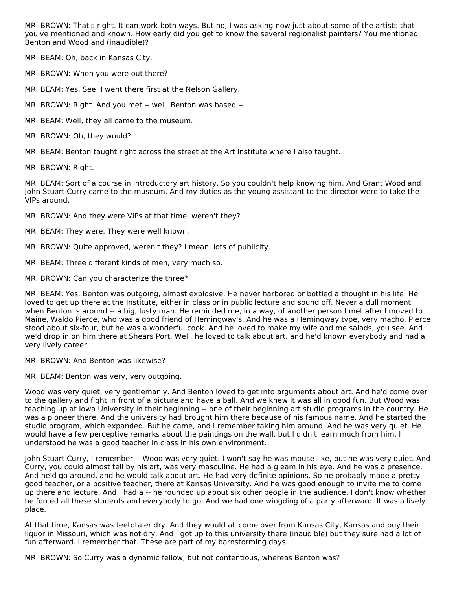MR. BROWN: That's right. It can work both ways. But no, I was asking now just about some of the artists that you've mentioned and known. How early did you get to know the several regionalist painters? You mentioned Benton and Wood and (inaudible)?

MR. BEAM: Oh, back in Kansas City.

MR. BROWN: When you were out there?

MR. BEAM: Yes. See, I went there first at the Nelson Gallery.

MR. BROWN: Right. And you met -- well, Benton was based --

MR. BEAM: Well, they all came to the museum.

MR. BROWN: Oh, they would?

MR. BEAM: Benton taught right across the street at the Art Institute where I also taught.

MR. BROWN: Right.

MR. BEAM: Sort of a course in introductory art history. So you couldn't help knowing him. And Grant Wood and John Stuart Curry came to the museum. And my duties as the young assistant to the director were to take the VIPs around.

MR. BROWN: And they were VIPs at that time, weren't they?

MR. BEAM: They were. They were well known.

MR. BROWN: Quite approved, weren't they? I mean, lots of publicity.

MR. BEAM: Three different kinds of men, very much so.

MR. BROWN: Can you characterize the three?

MR. BEAM: Yes. Benton was outgoing, almost explosive. He never harbored or bottled a thought in his life. He loved to get up there at the Institute, either in class or in public lecture and sound off. Never a dull moment when Benton is around -- a big, lusty man. He reminded me, in a way, of another person I met after I moved to Maine, Waldo Pierce, who was a good friend of Hemingway's. And he was a Hemingway type, very macho. Pierce stood about six-four, but he was a wonderful cook. And he loved to make my wife and me salads, you see. And we'd drop in on him there at Shears Port. Well, he loved to talk about art, and he'd known everybody and had a very lively career.

MR. BROWN: And Benton was likewise?

MR. BEAM: Benton was very, very outgoing.

Wood was very quiet, very gentlemanly. And Benton loved to get into arguments about art. And he'd come over to the gallery and fight in front of a picture and have a ball. And we knew it was all in good fun. But Wood was teaching up at Iowa University in their beginning -- one of their beginning art studio programs in the country. He was a pioneer there. And the university had brought him there because of his famous name. And he started the studio program, which expanded. But he came, and I remember taking him around. And he was very quiet. He would have a few perceptive remarks about the paintings on the wall, but I didn't learn much from him. I understood he was a good teacher in class in his own environment.

John Stuart Curry, I remember -- Wood was very quiet. I won't say he was mouse-like, but he was very quiet. And Curry, you could almost tell by his art, was very masculine. He had a gleam in his eye. And he was a presence. And he'd go around, and he would talk about art. He had very definite opinions. So he probably made a pretty good teacher, or a positive teacher, there at Kansas University. And he was good enough to invite me to come up there and lecture. And I had a -- he rounded up about six other people in the audience. I don't know whether he forced all these students and everybody to go. And we had one wingding of a party afterward. It was a lively place.

At that time, Kansas was teetotaler dry. And they would all come over from Kansas City, Kansas and buy their liquor in Missouri, which was not dry. And I got up to this university there (inaudible) but they sure had a lot of fun afterward. I remember that. These are part of my barnstorming days.

MR. BROWN: So Curry was a dynamic fellow, but not contentious, whereas Benton was?